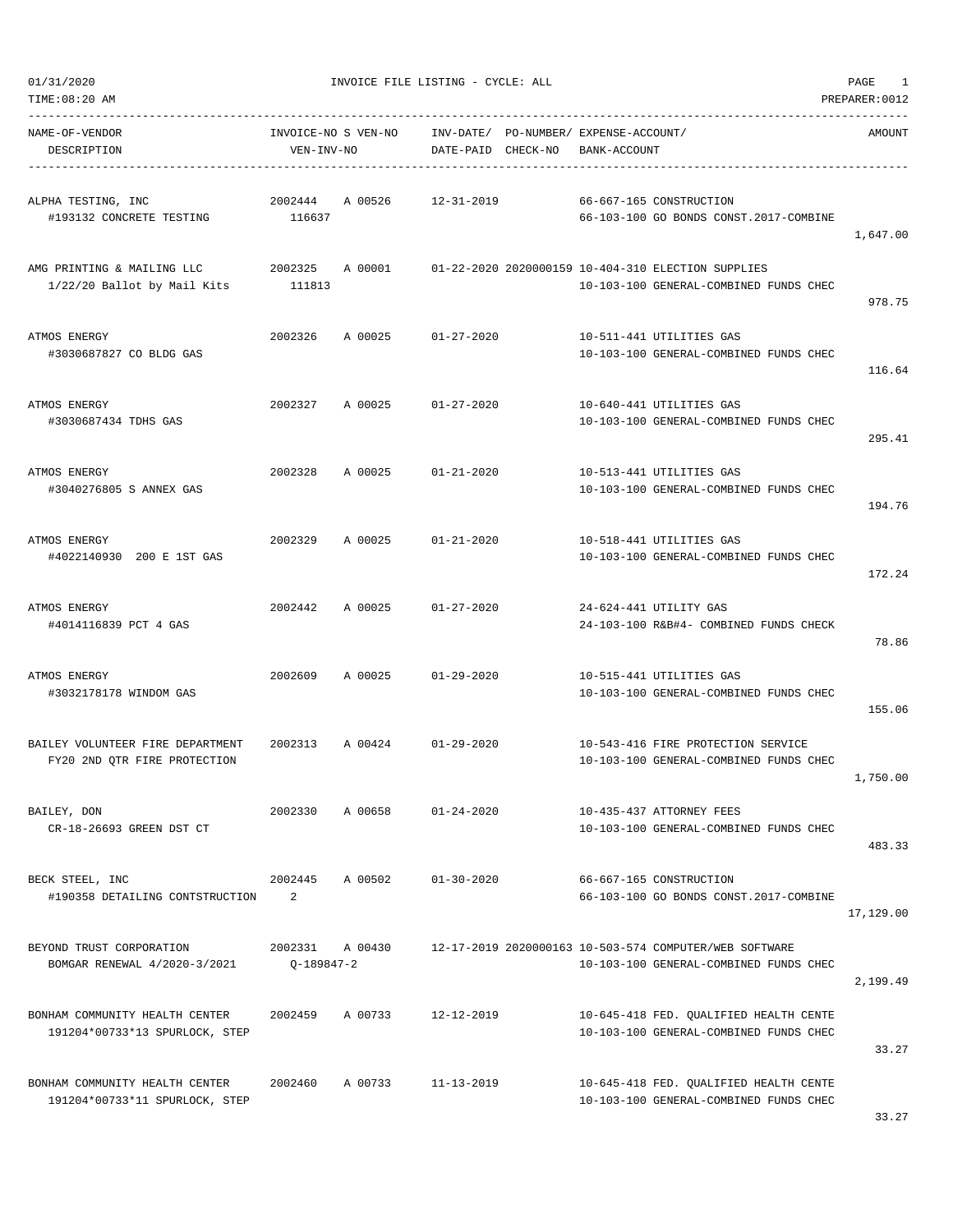| TIME:08:20 AM                                                    |                                   |         |                        |          |                                             |                                                                                                  | PREPARER: 0012 |
|------------------------------------------------------------------|-----------------------------------|---------|------------------------|----------|---------------------------------------------|--------------------------------------------------------------------------------------------------|----------------|
| NAME-OF-VENDOR<br>DESCRIPTION                                    | INVOICE-NO S VEN-NO<br>VEN-INV-NO |         | INV-DATE/<br>DATE-PAID | CHECK-NO | PO-NUMBER/ EXPENSE-ACCOUNT/<br>BANK-ACCOUNT |                                                                                                  | AMOUNT         |
| ALPHA TESTING, INC<br>#193132 CONCRETE TESTING                   | 2002444<br>116637                 | A 00526 | $12 - 31 - 2019$       |          |                                             | 66-667-165 CONSTRUCTION<br>66-103-100 GO BONDS CONST.2017-COMBINE                                | 1,647.00       |
| AMG PRINTING & MAILING LLC<br>1/22/20 Ballot by Mail Kits        | 2002325<br>111813                 | A 00001 |                        |          |                                             | 01-22-2020 2020000159 10-404-310 ELECTION SUPPLIES<br>10-103-100 GENERAL-COMBINED FUNDS CHEC     | 978.75         |
| ATMOS ENERGY<br>#3030687827 CO BLDG GAS                          | 2002326                           | A 00025 | $01 - 27 - 2020$       |          |                                             | 10-511-441 UTILITIES GAS<br>10-103-100 GENERAL-COMBINED FUNDS CHEC                               | 116.64         |
| ATMOS ENERGY<br>#3030687434 TDHS GAS                             | 2002327                           | A 00025 | $01 - 27 - 2020$       |          |                                             | 10-640-441 UTILITIES GAS<br>10-103-100 GENERAL-COMBINED FUNDS CHEC                               | 295.41         |
| ATMOS ENERGY<br>#3040276805 S ANNEX GAS                          | 2002328                           | A 00025 | $01 - 21 - 2020$       |          |                                             | 10-513-441 UTILITIES GAS<br>10-103-100 GENERAL-COMBINED FUNDS CHEC                               | 194.76         |
| ATMOS ENERGY<br>#4022140930 200 E 1ST GAS                        | 2002329                           | A 00025 | $01 - 21 - 2020$       |          |                                             | 10-518-441 UTILITIES GAS<br>10-103-100 GENERAL-COMBINED FUNDS CHEC                               | 172.24         |
| ATMOS ENERGY<br>#4014116839 PCT 4 GAS                            | 2002442                           | A 00025 | $01 - 27 - 2020$       |          |                                             | 24-624-441 UTILITY GAS<br>24-103-100 R&B#4- COMBINED FUNDS CHECK                                 | 78.86          |
| ATMOS ENERGY<br>#3032178178 WINDOM GAS                           | 2002609                           | A 00025 | $01 - 29 - 2020$       |          |                                             | 10-515-441 UTILITIES GAS<br>10-103-100 GENERAL-COMBINED FUNDS CHEC                               | 155.06         |
| BAILEY VOLUNTEER FIRE DEPARTMENT<br>FY20 2ND QTR FIRE PROTECTION | 2002313                           | A 00424 | $01 - 29 - 2020$       |          |                                             | 10-543-416 FIRE PROTECTION SERVICE<br>10-103-100 GENERAL-COMBINED FUNDS CHEC                     | 1,750.00       |
| BAILEY, DON<br>CR-18-26693 GREEN DST CT                          | 2002330                           | A 00658 | $01 - 24 - 2020$       |          |                                             | 10-435-437 ATTORNEY FEES<br>10-103-100 GENERAL-COMBINED FUNDS CHEC                               | 483.33         |
| BECK STEEL, INC<br>#190358 DETAILING CONTSTRUCTION               | 2002445<br>2                      | A 00502 | $01 - 30 - 2020$       |          |                                             | 66-667-165 CONSTRUCTION<br>66-103-100 GO BONDS CONST.2017-COMBINE                                | 17,129.00      |
| BEYOND TRUST CORPORATION<br>BOMGAR RENEWAL 4/2020-3/2021         | 2002331<br>Q-189847-2             | A 00430 |                        |          |                                             | 12-17-2019 2020000163 10-503-574 COMPUTER/WEB SOFTWARE<br>10-103-100 GENERAL-COMBINED FUNDS CHEC | 2,199.49       |
| BONHAM COMMUNITY HEALTH CENTER<br>191204*00733*13 SPURLOCK, STEP | 2002459                           | A 00733 | 12-12-2019             |          |                                             | 10-645-418 FED. QUALIFIED HEALTH CENTE<br>10-103-100 GENERAL-COMBINED FUNDS CHEC                 | 33.27          |
| BONHAM COMMUNITY HEALTH CENTER<br>191204*00733*11 SPURLOCK, STEP | 2002460                           | A 00733 | $11 - 13 - 2019$       |          |                                             | 10-645-418 FED. QUALIFIED HEALTH CENTE<br>10-103-100 GENERAL-COMBINED FUNDS CHEC                 |                |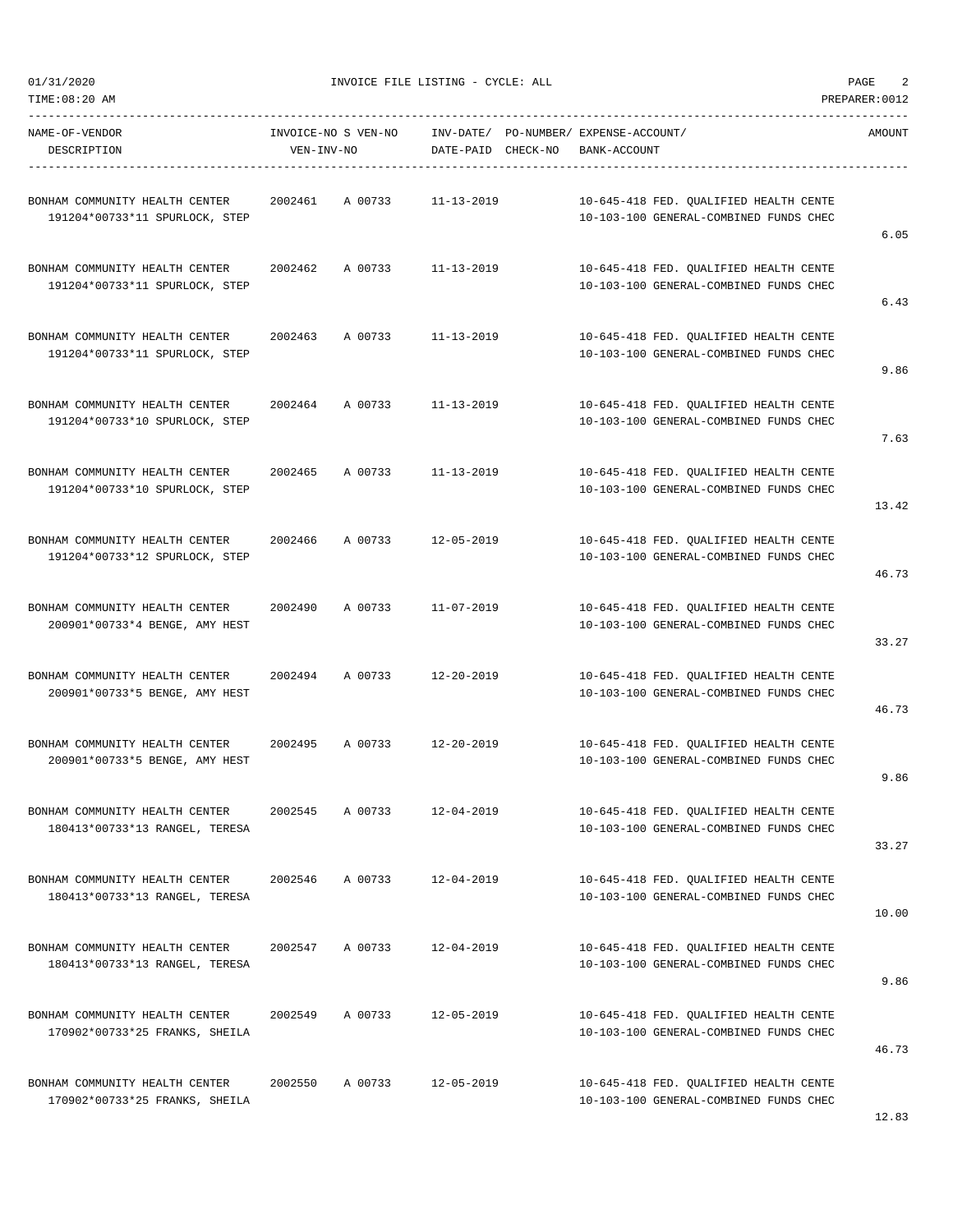$01/31/2020$  PAGE 2

-----------------------------------------------------------------------------------------------------------------------------------

| NAME-OF-VENDOR<br>DESCRIPTION                                    | INVOICE-NO S VEN-NO<br>VEN-INV-NO |                  | DATE-PAID CHECK-NO | INV-DATE/ PO-NUMBER/ EXPENSE-ACCOUNT/<br>BANK-ACCOUNT                            | AMOUNT |
|------------------------------------------------------------------|-----------------------------------|------------------|--------------------|----------------------------------------------------------------------------------|--------|
| BONHAM COMMUNITY HEALTH CENTER<br>191204*00733*11 SPURLOCK, STEP | 2002461<br>A 00733                | $11 - 13 - 2019$ |                    | 10-645-418 FED. QUALIFIED HEALTH CENTE<br>10-103-100 GENERAL-COMBINED FUNDS CHEC | 6.05   |
| BONHAM COMMUNITY HEALTH CENTER<br>191204*00733*11 SPURLOCK, STEP | 2002462<br>A 00733                | $11 - 13 - 2019$ |                    | 10-645-418 FED. QUALIFIED HEALTH CENTE<br>10-103-100 GENERAL-COMBINED FUNDS CHEC | 6.43   |
| BONHAM COMMUNITY HEALTH CENTER<br>191204*00733*11 SPURLOCK, STEP | 2002463<br>A 00733                | $11 - 13 - 2019$ |                    | 10-645-418 FED. QUALIFIED HEALTH CENTE<br>10-103-100 GENERAL-COMBINED FUNDS CHEC | 9.86   |
| BONHAM COMMUNITY HEALTH CENTER<br>191204*00733*10 SPURLOCK, STEP | 2002464<br>A 00733                | $11 - 13 - 2019$ |                    | 10-645-418 FED. QUALIFIED HEALTH CENTE<br>10-103-100 GENERAL-COMBINED FUNDS CHEC | 7.63   |
| BONHAM COMMUNITY HEALTH CENTER<br>191204*00733*10 SPURLOCK, STEP | A 00733<br>2002465                | $11 - 13 - 2019$ |                    | 10-645-418 FED. QUALIFIED HEALTH CENTE<br>10-103-100 GENERAL-COMBINED FUNDS CHEC | 13.42  |
| BONHAM COMMUNITY HEALTH CENTER<br>191204*00733*12 SPURLOCK, STEP | 2002466<br>A 00733                | $12 - 05 - 2019$ |                    | 10-645-418 FED. QUALIFIED HEALTH CENTE<br>10-103-100 GENERAL-COMBINED FUNDS CHEC | 46.73  |
| BONHAM COMMUNITY HEALTH CENTER<br>200901*00733*4 BENGE, AMY HEST | A 00733<br>2002490                | $11 - 07 - 2019$ |                    | 10-645-418 FED. QUALIFIED HEALTH CENTE<br>10-103-100 GENERAL-COMBINED FUNDS CHEC | 33.27  |
| BONHAM COMMUNITY HEALTH CENTER<br>200901*00733*5 BENGE, AMY HEST | 2002494<br>A 00733                | $12 - 20 - 2019$ |                    | 10-645-418 FED. QUALIFIED HEALTH CENTE<br>10-103-100 GENERAL-COMBINED FUNDS CHEC | 46.73  |
| BONHAM COMMUNITY HEALTH CENTER<br>200901*00733*5 BENGE, AMY HEST | 2002495<br>A 00733                | $12 - 20 - 2019$ |                    | 10-645-418 FED. QUALIFIED HEALTH CENTE<br>10-103-100 GENERAL-COMBINED FUNDS CHEC | 9.86   |
| BONHAM COMMUNITY HEALTH CENTER<br>180413*00733*13 RANGEL, TERESA | 2002545<br>A 00733                | $12 - 04 - 2019$ |                    | 10-645-418 FED. OUALIFIED HEALTH CENTE<br>10-103-100 GENERAL-COMBINED FUNDS CHEC | 33.27  |
| BONHAM COMMUNITY HEALTH CENTER<br>180413*00733*13 RANGEL, TERESA | 2002546<br>A 00733                | $12 - 04 - 2019$ |                    | 10-645-418 FED. QUALIFIED HEALTH CENTE<br>10-103-100 GENERAL-COMBINED FUNDS CHEC | 10.00  |
| BONHAM COMMUNITY HEALTH CENTER<br>180413*00733*13 RANGEL, TERESA | A 00733<br>2002547                | $12 - 04 - 2019$ |                    | 10-645-418 FED. QUALIFIED HEALTH CENTE<br>10-103-100 GENERAL-COMBINED FUNDS CHEC | 9.86   |
| BONHAM COMMUNITY HEALTH CENTER<br>170902*00733*25 FRANKS, SHEILA | 2002549<br>A 00733                | $12 - 05 - 2019$ |                    | 10-645-418 FED. QUALIFIED HEALTH CENTE<br>10-103-100 GENERAL-COMBINED FUNDS CHEC | 46.73  |
| BONHAM COMMUNITY HEALTH CENTER<br>170902*00733*25 FRANKS, SHEILA | 2002550<br>A 00733                | $12 - 05 - 2019$ |                    | 10-645-418 FED. QUALIFIED HEALTH CENTE<br>10-103-100 GENERAL-COMBINED FUNDS CHEC | 12.83  |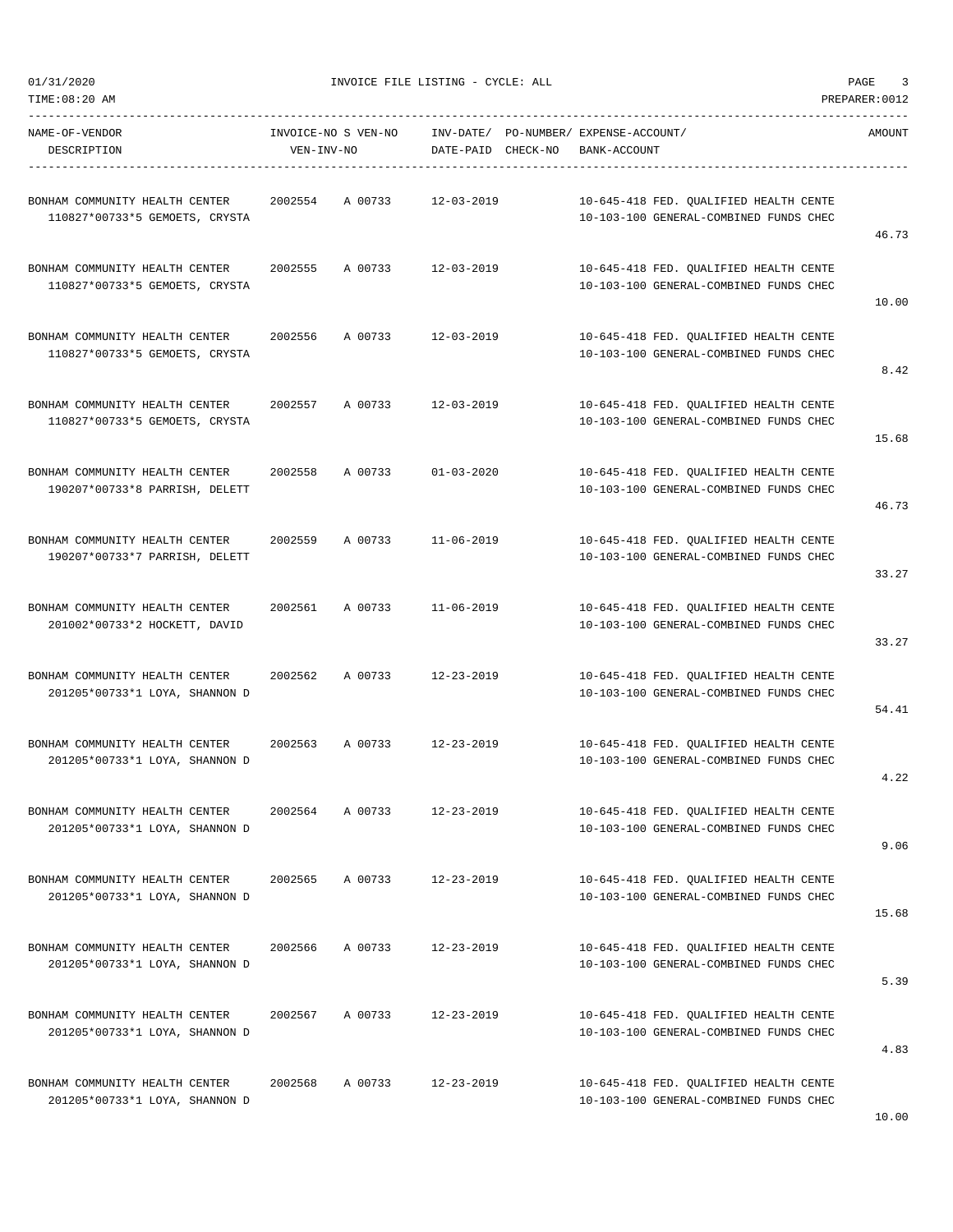01/31/2020 INVOICE FILE LISTING - CYCLE: ALL PAGE 3

DESCRIPTION VEN-INV-NO DATE-PAID CHECK-NO BANK-ACCOUNT

----------------------------------------------------------------------------------------------------------------------------------- NAME-OF-VENDOR INVOICE-NO S VEN-NO INV-DATE/ PO-NUMBER/ EXPENSE-ACCOUNT/ AMOUNT

| BONHAM COMMUNITY HEALTH CENTER<br>110827*00733*5 GEMOETS, CRYSTA | 2002554 | A 00733 | $12 - 03 - 2019$ | 10-645-418 FED. QUALIFIED HEALTH CENTE<br>10-103-100 GENERAL-COMBINED FUNDS CHEC | 46.73 |
|------------------------------------------------------------------|---------|---------|------------------|----------------------------------------------------------------------------------|-------|
| BONHAM COMMUNITY HEALTH CENTER<br>110827*00733*5 GEMOETS, CRYSTA | 2002555 | A 00733 | $12 - 03 - 2019$ | 10-645-418 FED. QUALIFIED HEALTH CENTE<br>10-103-100 GENERAL-COMBINED FUNDS CHEC | 10.00 |
| BONHAM COMMUNITY HEALTH CENTER<br>110827*00733*5 GEMOETS, CRYSTA | 2002556 | A 00733 | 12-03-2019       | 10-645-418 FED. QUALIFIED HEALTH CENTE<br>10-103-100 GENERAL-COMBINED FUNDS CHEC | 8.42  |
| BONHAM COMMUNITY HEALTH CENTER<br>110827*00733*5 GEMOETS, CRYSTA | 2002557 | A 00733 | $12 - 03 - 2019$ | 10-645-418 FED. QUALIFIED HEALTH CENTE<br>10-103-100 GENERAL-COMBINED FUNDS CHEC | 15.68 |
| BONHAM COMMUNITY HEALTH CENTER<br>190207*00733*8 PARRISH, DELETT | 2002558 | A 00733 | $01 - 03 - 2020$ | 10-645-418 FED. OUALIFIED HEALTH CENTE<br>10-103-100 GENERAL-COMBINED FUNDS CHEC | 46.73 |
| BONHAM COMMUNITY HEALTH CENTER<br>190207*00733*7 PARRISH, DELETT | 2002559 | A 00733 | $11 - 06 - 2019$ | 10-645-418 FED. QUALIFIED HEALTH CENTE<br>10-103-100 GENERAL-COMBINED FUNDS CHEC | 33.27 |
| BONHAM COMMUNITY HEALTH CENTER<br>201002*00733*2 HOCKETT, DAVID  | 2002561 | A 00733 | 11-06-2019       | 10-645-418 FED. QUALIFIED HEALTH CENTE<br>10-103-100 GENERAL-COMBINED FUNDS CHEC | 33.27 |
| BONHAM COMMUNITY HEALTH CENTER<br>201205*00733*1 LOYA, SHANNON D | 2002562 | A 00733 | $12 - 23 - 2019$ | 10-645-418 FED. QUALIFIED HEALTH CENTE<br>10-103-100 GENERAL-COMBINED FUNDS CHEC | 54.41 |
| BONHAM COMMUNITY HEALTH CENTER<br>201205*00733*1 LOYA, SHANNON D | 2002563 | A 00733 | $12 - 23 - 2019$ | 10-645-418 FED. QUALIFIED HEALTH CENTE<br>10-103-100 GENERAL-COMBINED FUNDS CHEC | 4.22  |
| BONHAM COMMUNITY HEALTH CENTER<br>201205*00733*1 LOYA, SHANNON D | 2002564 | A 00733 | $12 - 23 - 2019$ | 10-645-418 FED. OUALIFIED HEALTH CENTE<br>10-103-100 GENERAL-COMBINED FUNDS CHEC | 9.06  |
| BONHAM COMMUNITY HEALTH CENTER<br>201205*00733*1 LOYA, SHANNON D | 2002565 | A 00733 | $12 - 23 - 2019$ | 10-645-418 FED. QUALIFIED HEALTH CENTE<br>10-103-100 GENERAL-COMBINED FUNDS CHEC | 15.68 |
| BONHAM COMMUNITY HEALTH CENTER<br>201205*00733*1 LOYA, SHANNON D | 2002566 | A 00733 | $12 - 23 - 2019$ | 10-645-418 FED. QUALIFIED HEALTH CENTE<br>10-103-100 GENERAL-COMBINED FUNDS CHEC | 5.39  |
| BONHAM COMMUNITY HEALTH CENTER                                   | 2002567 | A 00733 | $12 - 23 - 2019$ | 10-645-418 FED. OUALIFIED HEALTH CENTE                                           |       |

4.83 BONHAM COMMUNITY HEALTH CENTER 2002568 A 00733 12-23-2019 10-645-418 FED. QUALIFIED HEALTH CENTE 201205\*00733\*1 LOYA, SHANNON D 10-103-100 GENERAL-COMBINED FUNDS CHEC

201205\*00733\*1 LOYA, SHANNON D 10-103-100 GENERAL-COMBINED FUNDS CHEC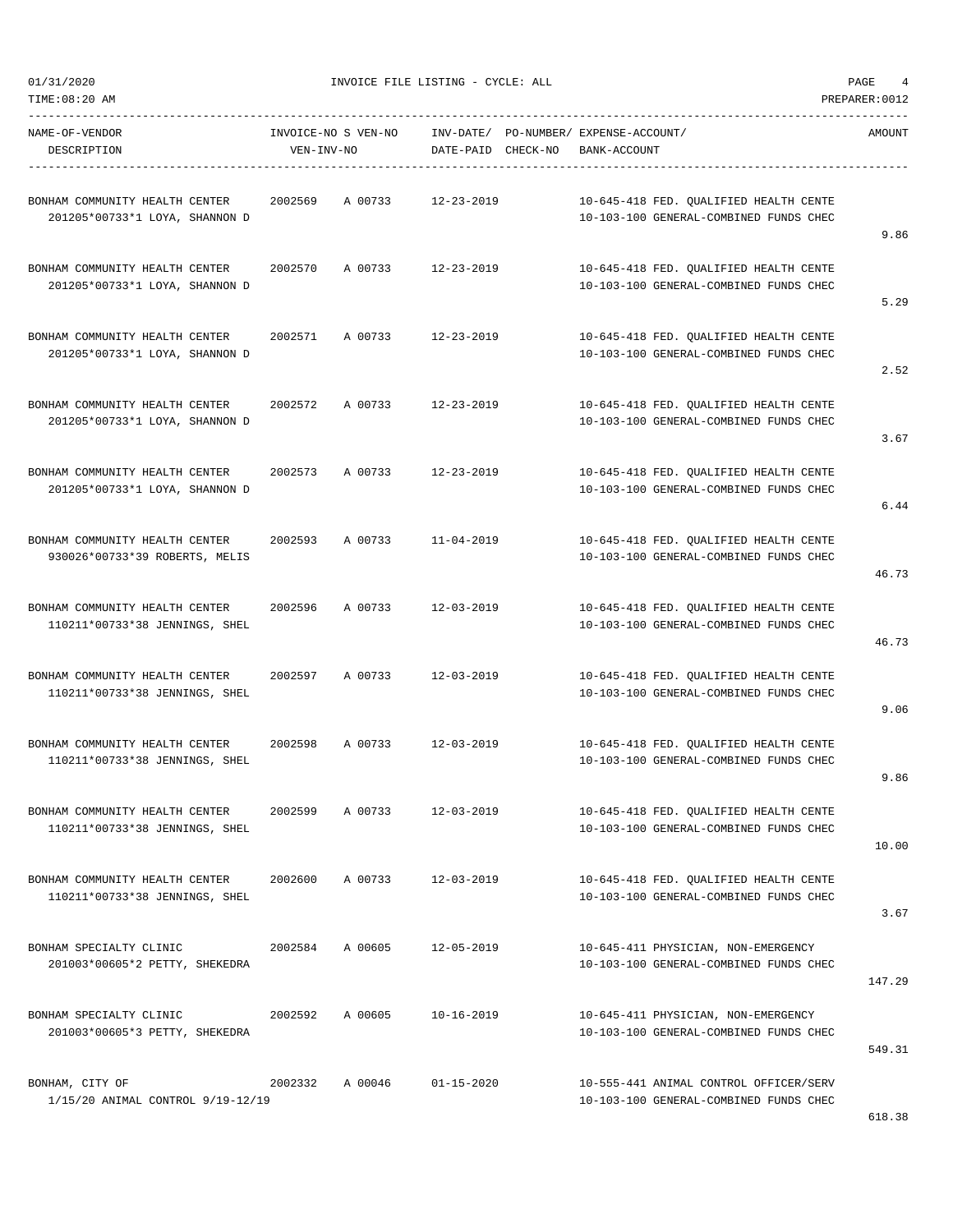01/31/2020 INVOICE FILE LISTING - CYCLE: ALL PAGE 4

DESCRIPTION VEN-INV-NO DATE-PAID CHECK-NO BANK-ACCOUNT

----------------------------------------------------------------------------------------------------------------------------------- NAME-OF-VENDOR INVOICE-NO S VEN-NO INV-DATE/ PO-NUMBER/ EXPENSE-ACCOUNT/ AMOUNT

-----------------------------------------------------------------------------------------------------------------------------------

| BONHAM COMMUNITY HEALTH CENTER<br>201205*00733*1 LOYA, SHANNON D | 2002569 | A 00733 | $12 - 23 - 2019$ | 10-645-418 FED. OUALIFIED HEALTH CENTE<br>10-103-100 GENERAL-COMBINED FUNDS CHEC | 9.86   |
|------------------------------------------------------------------|---------|---------|------------------|----------------------------------------------------------------------------------|--------|
| BONHAM COMMUNITY HEALTH CENTER<br>201205*00733*1 LOYA, SHANNON D | 2002570 | A 00733 | $12 - 23 - 2019$ | 10-645-418 FED. QUALIFIED HEALTH CENTE<br>10-103-100 GENERAL-COMBINED FUNDS CHEC | 5.29   |
| BONHAM COMMUNITY HEALTH CENTER<br>201205*00733*1 LOYA, SHANNON D | 2002571 | A 00733 | $12 - 23 - 2019$ | 10-645-418 FED. QUALIFIED HEALTH CENTE<br>10-103-100 GENERAL-COMBINED FUNDS CHEC | 2.52   |
| BONHAM COMMUNITY HEALTH CENTER<br>201205*00733*1 LOYA, SHANNON D | 2002572 | A 00733 | $12 - 23 - 2019$ | 10-645-418 FED. QUALIFIED HEALTH CENTE<br>10-103-100 GENERAL-COMBINED FUNDS CHEC | 3.67   |
| BONHAM COMMUNITY HEALTH CENTER<br>201205*00733*1 LOYA, SHANNON D | 2002573 | A 00733 | $12 - 23 - 2019$ | 10-645-418 FED. QUALIFIED HEALTH CENTE<br>10-103-100 GENERAL-COMBINED FUNDS CHEC | 6.44   |
| BONHAM COMMUNITY HEALTH CENTER<br>930026*00733*39 ROBERTS, MELIS | 2002593 | A 00733 | $11 - 04 - 2019$ | 10-645-418 FED. QUALIFIED HEALTH CENTE<br>10-103-100 GENERAL-COMBINED FUNDS CHEC | 46.73  |
| BONHAM COMMUNITY HEALTH CENTER<br>110211*00733*38 JENNINGS, SHEL | 2002596 | A 00733 | $12 - 03 - 2019$ | 10-645-418 FED. QUALIFIED HEALTH CENTE<br>10-103-100 GENERAL-COMBINED FUNDS CHEC | 46.73  |
| BONHAM COMMUNITY HEALTH CENTER<br>110211*00733*38 JENNINGS, SHEL | 2002597 | A 00733 | $12 - 03 - 2019$ | 10-645-418 FED. QUALIFIED HEALTH CENTE<br>10-103-100 GENERAL-COMBINED FUNDS CHEC | 9.06   |
| BONHAM COMMUNITY HEALTH CENTER<br>110211*00733*38 JENNINGS, SHEL | 2002598 | A 00733 | $12 - 03 - 2019$ | 10-645-418 FED. QUALIFIED HEALTH CENTE<br>10-103-100 GENERAL-COMBINED FUNDS CHEC | 9.86   |
| BONHAM COMMUNITY HEALTH CENTER<br>110211*00733*38 JENNINGS, SHEL | 2002599 | A 00733 | $12 - 03 - 2019$ | 10-645-418 FED. QUALIFIED HEALTH CENTE<br>10-103-100 GENERAL-COMBINED FUNDS CHEC | 10.00  |
| BONHAM COMMUNITY HEALTH CENTER<br>110211*00733*38 JENNINGS, SHEL | 2002600 | A 00733 | 12-03-2019       | 10-645-418 FED. QUALIFIED HEALTH CENTE<br>10-103-100 GENERAL-COMBINED FUNDS CHEC | 3.67   |
| BONHAM SPECIALTY CLINIC<br>201003*00605*2 PETTY, SHEKEDRA        | 2002584 | A 00605 | 12-05-2019       | 10-645-411 PHYSICIAN, NON-EMERGENCY<br>10-103-100 GENERAL-COMBINED FUNDS CHEC    | 147.29 |
| BONHAM SPECIALTY CLINIC<br>201003*00605*3 PETTY, SHEKEDRA        | 2002592 | A 00605 | 10-16-2019       | 10-645-411 PHYSICIAN, NON-EMERGENCY<br>10-103-100 GENERAL-COMBINED FUNDS CHEC    | 549.31 |
| BONHAM, CITY OF<br>1/15/20 ANIMAL CONTROL 9/19-12/19             | 2002332 | A 00046 | $01 - 15 - 2020$ | 10-555-441 ANIMAL CONTROL OFFICER/SERV<br>10-103-100 GENERAL-COMBINED FUNDS CHEC | 618.38 |
|                                                                  |         |         |                  |                                                                                  |        |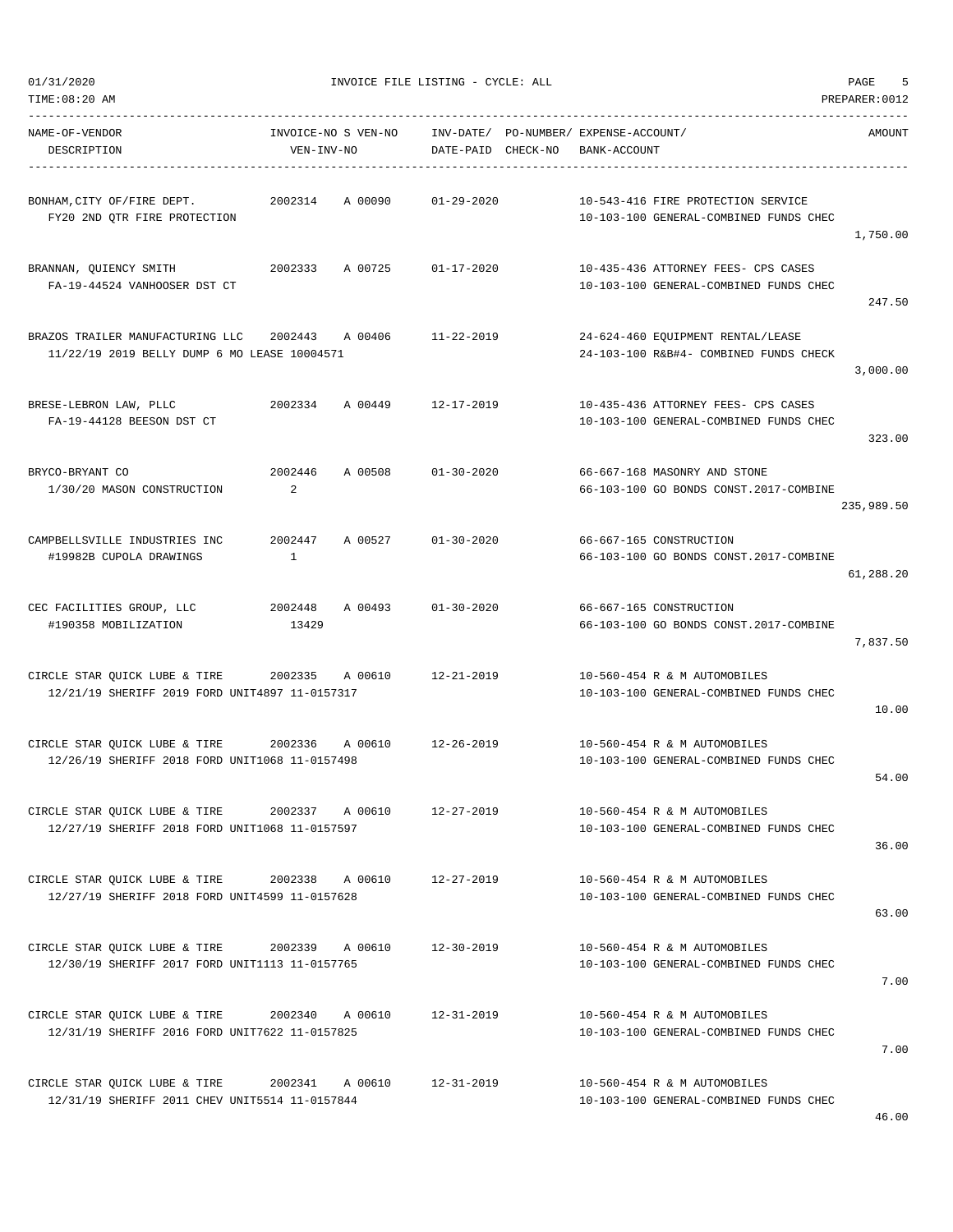| TIME:08:20 AM                                                                    |                                    |                                    |                                                                               | PREPARER: 0012 |
|----------------------------------------------------------------------------------|------------------------------------|------------------------------------|-------------------------------------------------------------------------------|----------------|
| NAME-OF-VENDOR<br>DESCRIPTION                                                    | INVOICE-NO S VEN-NO<br>VEN-INV-NO  | INV-DATE/<br>DATE-PAID<br>CHECK-NO | PO-NUMBER/ EXPENSE-ACCOUNT/<br>BANK-ACCOUNT                                   | AMOUNT         |
| BONHAM, CITY OF/FIRE DEPT.<br>FY20 2ND QTR FIRE PROTECTION                       | 2002314<br>A 00090                 | $01 - 29 - 2020$                   | 10-543-416 FIRE PROTECTION SERVICE<br>10-103-100 GENERAL-COMBINED FUNDS CHEC  | 1,750.00       |
| BRANNAN, QUIENCY SMITH<br>FA-19-44524 VANHOOSER DST CT                           | 2002333<br>A 00725                 | $01 - 17 - 2020$                   | 10-435-436 ATTORNEY FEES- CPS CASES<br>10-103-100 GENERAL-COMBINED FUNDS CHEC | 247.50         |
| BRAZOS TRAILER MANUFACTURING LLC<br>11/22/19 2019 BELLY DUMP 6 MO LEASE 10004571 | 2002443<br>A 00406                 | $11 - 22 - 2019$                   | 24-624-460 EQUIPMENT RENTAL/LEASE<br>24-103-100 R&B#4- COMBINED FUNDS CHECK   | 3,000.00       |
| BRESE-LEBRON LAW, PLLC<br>FA-19-44128 BEESON DST CT                              | 2002334<br>A 00449                 | $12 - 17 - 2019$                   | 10-435-436 ATTORNEY FEES- CPS CASES<br>10-103-100 GENERAL-COMBINED FUNDS CHEC | 323.00         |
| BRYCO-BRYANT CO<br>1/30/20 MASON CONSTRUCTION                                    | 2002446<br>A 00508<br>2            | $01 - 30 - 2020$                   | 66-667-168 MASONRY AND STONE<br>66-103-100 GO BONDS CONST.2017-COMBINE        | 235,989.50     |
| CAMPBELLSVILLE INDUSTRIES INC<br>#19982B CUPOLA DRAWINGS                         | 2002447<br>A 00527<br>$\mathbf{1}$ | $01 - 30 - 2020$                   | 66-667-165 CONSTRUCTION<br>66-103-100 GO BONDS CONST.2017-COMBINE             | 61,288.20      |
| CEC FACILITIES GROUP, LLC<br>#190358 MOBILIZATION                                | 2002448<br>A 00493<br>13429        | $01 - 30 - 2020$                   | 66-667-165 CONSTRUCTION<br>66-103-100 GO BONDS CONST.2017-COMBINE             | 7,837.50       |
| CIRCLE STAR QUICK LUBE & TIRE<br>12/21/19 SHERIFF 2019 FORD UNIT4897 11-0157317  | 2002335<br>A 00610                 | $12 - 21 - 2019$                   | 10-560-454 R & M AUTOMOBILES<br>10-103-100 GENERAL-COMBINED FUNDS CHEC        | 10.00          |
| CIRCLE STAR QUICK LUBE & TIRE<br>12/26/19 SHERIFF 2018 FORD UNIT1068 11-0157498  | 2002336<br>A 00610                 | 12-26-2019                         | 10-560-454 R & M AUTOMOBILES<br>10-103-100 GENERAL-COMBINED FUNDS CHEC        | 54.00          |
| CIRCLE STAR QUICK LUBE & TIRE<br>12/27/19 SHERIFF 2018 FORD UNIT1068 11-0157597  | 2002337<br>A 00610                 | 12-27-2019                         | 10-560-454 R & M AUTOMOBILES<br>10-103-100 GENERAL-COMBINED FUNDS CHEC        | 36.00          |
| CIRCLE STAR QUICK LUBE & TIRE<br>12/27/19 SHERIFF 2018 FORD UNIT4599 11-0157628  | 2002338<br>A 00610                 | $12 - 27 - 2019$                   | 10-560-454 R & M AUTOMOBILES<br>10-103-100 GENERAL-COMBINED FUNDS CHEC        | 63.00          |
| CIRCLE STAR QUICK LUBE & TIRE<br>12/30/19 SHERIFF 2017 FORD UNIT1113 11-0157765  | 2002339<br>A 00610                 | 12-30-2019                         | 10-560-454 R & M AUTOMOBILES<br>10-103-100 GENERAL-COMBINED FUNDS CHEC        | 7.00           |
| CIRCLE STAR QUICK LUBE & TIRE<br>12/31/19 SHERIFF 2016 FORD UNIT7622 11-0157825  | 2002340<br>A 00610                 | 12-31-2019                         | 10-560-454 R & M AUTOMOBILES<br>10-103-100 GENERAL-COMBINED FUNDS CHEC        | 7.00           |
| CIRCLE STAR QUICK LUBE & TIRE<br>12/31/19 SHERIFF 2011 CHEV UNIT5514 11-0157844  | 2002341<br>A 00610                 | $12 - 31 - 2019$                   | 10-560-454 R & M AUTOMOBILES<br>10-103-100 GENERAL-COMBINED FUNDS CHEC        |                |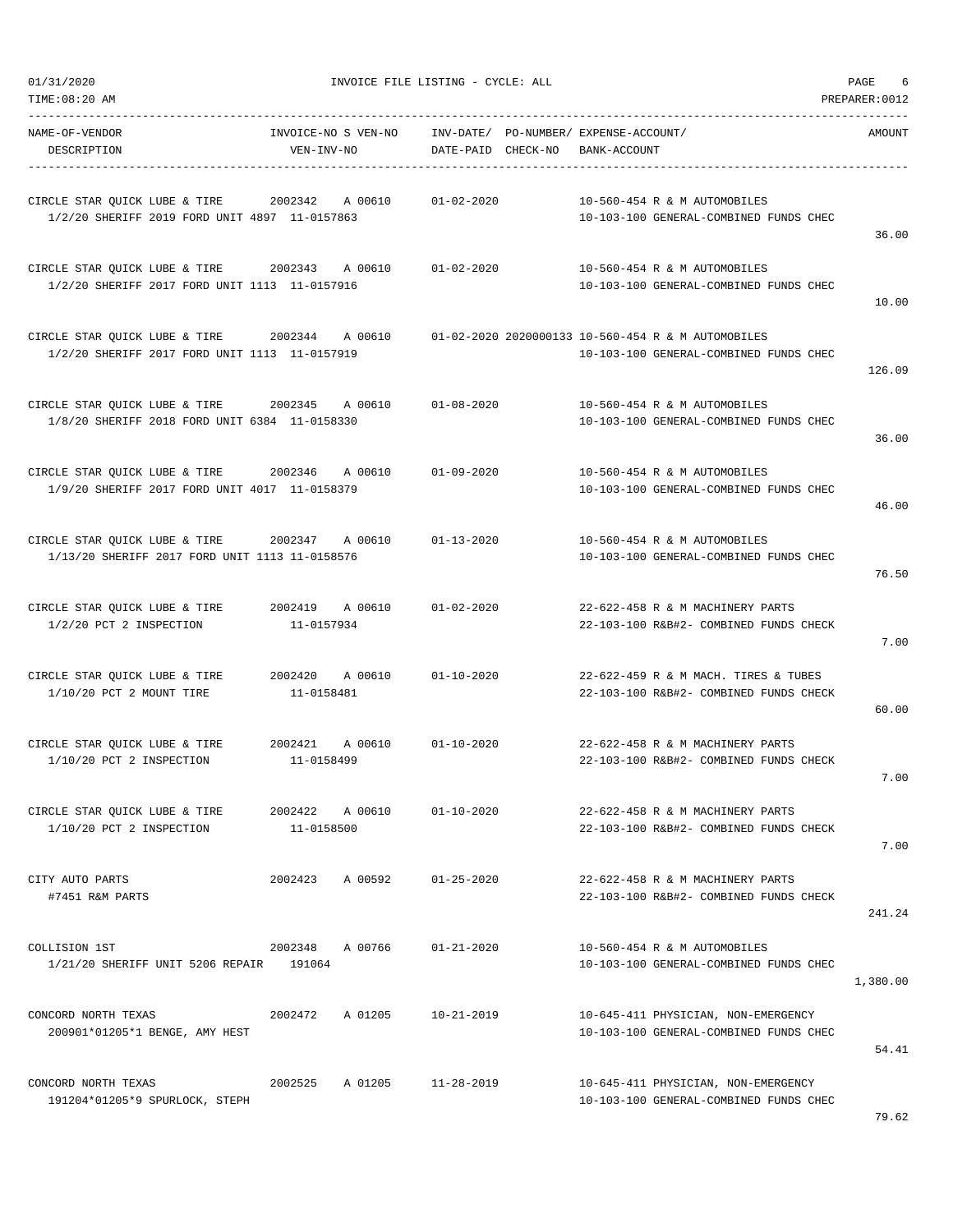| NAME-OF-VENDOR<br>DESCRIPTION                                                                   | INVOICE-NO S VEN-NO<br>VEN-INV-NO | DATE-PAID CHECK-NO | INV-DATE/ PO-NUMBER/ EXPENSE-ACCOUNT/<br>BANK-ACCOUNT                                        | AMOUNT   |
|-------------------------------------------------------------------------------------------------|-----------------------------------|--------------------|----------------------------------------------------------------------------------------------|----------|
| CIRCLE STAR QUICK LUBE & TIRE 2002342<br>1/2/20 SHERIFF 2019 FORD UNIT 4897 11-0157863          | A 00610                           | $01 - 02 - 2020$   | 10-560-454 R & M AUTOMOBILES<br>10-103-100 GENERAL-COMBINED FUNDS CHEC                       | 36.00    |
| CIRCLE STAR OUICK LUBE & TIRE 2002343<br>1/2/20 SHERIFF 2017 FORD UNIT 1113 11-0157916          | A 00610                           | $01 - 02 - 2020$   | 10-560-454 R & M AUTOMOBILES<br>10-103-100 GENERAL-COMBINED FUNDS CHEC                       | 10.00    |
| CIRCLE STAR QUICK LUBE & TIRE 2002344 A 00610<br>1/2/20 SHERIFF 2017 FORD UNIT 1113 11-0157919  |                                   |                    | 01-02-2020 2020000133 10-560-454 R & M AUTOMOBILES<br>10-103-100 GENERAL-COMBINED FUNDS CHEC | 126.09   |
| CIRCLE STAR QUICK LUBE & TIRE 2002345<br>1/8/20 SHERIFF 2018 FORD UNIT 6384 11-0158330          | A 00610                           | 01-08-2020         | 10-560-454 R & M AUTOMOBILES<br>10-103-100 GENERAL-COMBINED FUNDS CHEC                       | 36.00    |
| CIRCLE STAR OUICK LUBE & TIRE 2002346<br>1/9/20 SHERIFF 2017 FORD UNIT 4017 11-0158379          | A 00610                           | $01 - 09 - 2020$   | 10-560-454 R & M AUTOMOBILES<br>10-103-100 GENERAL-COMBINED FUNDS CHEC                       | 46.00    |
| CIRCLE STAR QUICK LUBE & TIRE 2002347 A 00610<br>1/13/20 SHERIFF 2017 FORD UNIT 1113 11-0158576 |                                   | $01 - 13 - 2020$   | 10-560-454 R & M AUTOMOBILES<br>10-103-100 GENERAL-COMBINED FUNDS CHEC                       | 76.50    |
| CIRCLE STAR QUICK LUBE & TIRE<br>1/2/20 PCT 2 INSPECTION                                        | 2002419 A 00610<br>11-0157934     | $01 - 02 - 2020$   | 22-622-458 R & M MACHINERY PARTS<br>22-103-100 R&B#2- COMBINED FUNDS CHECK                   | 7.00     |
| CIRCLE STAR QUICK LUBE & TIRE<br>$1/10/20$ PCT 2 MOUNT TIRE                                     | 2002420 A 00610<br>11-0158481     | $01 - 10 - 2020$   | 22-622-459 R & M MACH. TIRES & TUBES<br>22-103-100 R&B#2- COMBINED FUNDS CHECK               | 60.00    |
| CIRCLE STAR QUICK LUBE & TIRE 2002421<br>1/10/20 PCT 2 INSPECTION                               | A 00610<br>11-0158499             | $01 - 10 - 2020$   | 22-622-458 R & M MACHINERY PARTS<br>22-103-100 R&B#2- COMBINED FUNDS CHECK                   | 7.00     |
| CIRCLE STAR QUICK LUBE & TIRE<br>1/10/20 PCT 2 INSPECTION                                       | 2002422 A 00610<br>11-0158500     | $01 - 10 - 2020$   | 22-622-458 R & M MACHINERY PARTS<br>22-103-100 R&B#2- COMBINED FUNDS CHECK                   | 7.00     |
| CITY AUTO PARTS<br>#7451 R&M PARTS                                                              | 2002423<br>A 00592                | $01 - 25 - 2020$   | 22-622-458 R & M MACHINERY PARTS<br>22-103-100 R&B#2- COMBINED FUNDS CHECK                   | 241.24   |
| COLLISION 1ST<br>1/21/20 SHERIFF UNIT 5206 REPAIR 191064                                        | 2002348 A 00766                   | $01 - 21 - 2020$   | 10-560-454 R & M AUTOMOBILES<br>10-103-100 GENERAL-COMBINED FUNDS CHEC                       | 1,380.00 |
| CONCORD NORTH TEXAS<br>200901*01205*1 BENGE, AMY HEST                                           | 2002472<br>A 01205                | $10 - 21 - 2019$   | 10-645-411 PHYSICIAN, NON-EMERGENCY<br>10-103-100 GENERAL-COMBINED FUNDS CHEC                | 54.41    |
| CONCORD NORTH TEXAS<br>191204*01205*9 SPURLOCK, STEPH                                           | 2002525<br>A 01205                | 11-28-2019         | 10-645-411 PHYSICIAN, NON-EMERGENCY<br>10-103-100 GENERAL-COMBINED FUNDS CHEC                |          |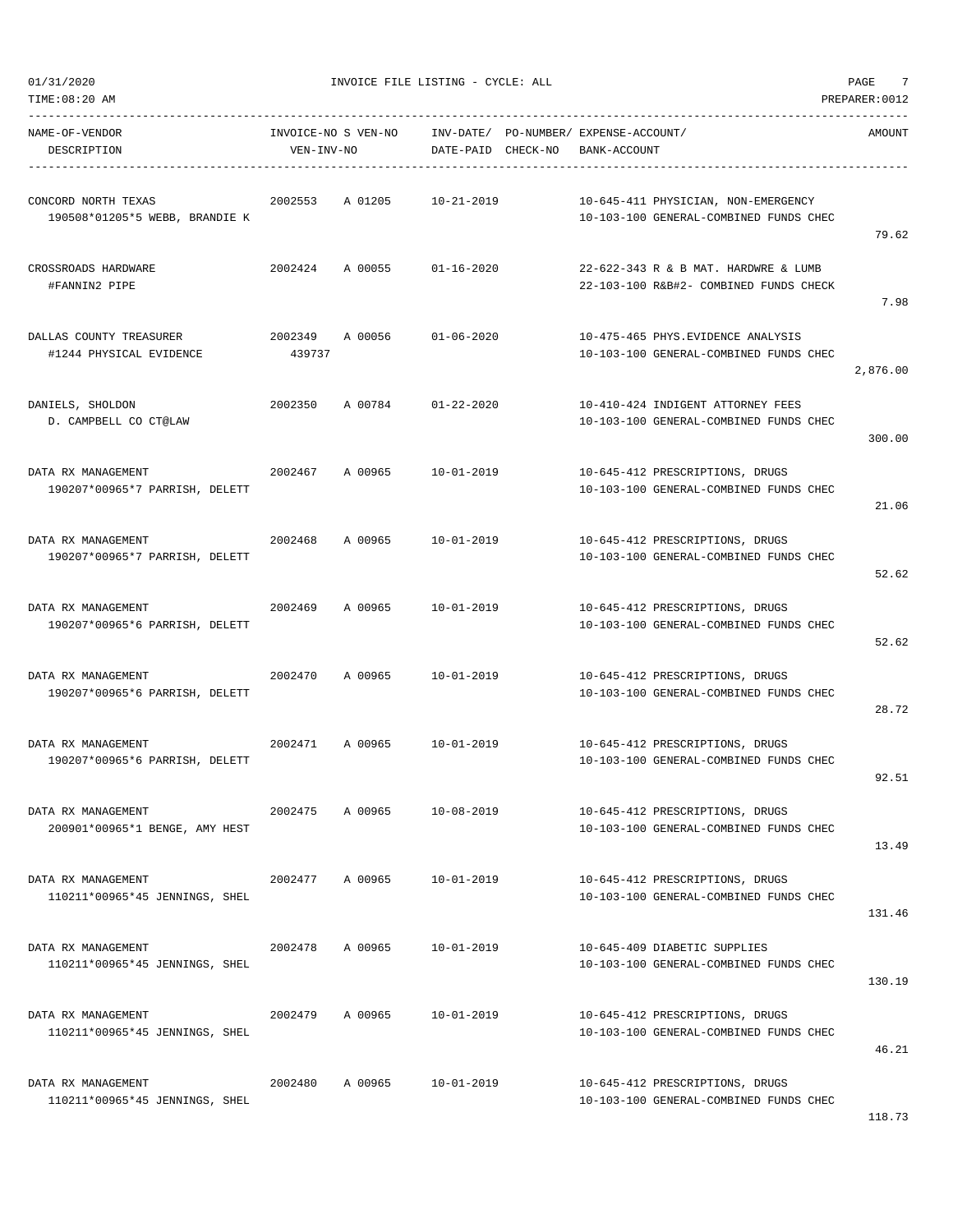| NAME-OF-VENDOR<br>DESCRIPTION                         | VEN-INV-NO | INVOICE-NO S VEN-NO |                            | INV-DATE/ PO-NUMBER/ EXPENSE-ACCOUNT/<br>DATE-PAID CHECK-NO BANK-ACCOUNT       | AMOUNT   |
|-------------------------------------------------------|------------|---------------------|----------------------------|--------------------------------------------------------------------------------|----------|
| CONCORD NORTH TEXAS<br>190508*01205*5 WEBB, BRANDIE K |            |                     | 2002553 A 01205 10-21-2019 | 10-645-411 PHYSICIAN, NON-EMERGENCY<br>10-103-100 GENERAL-COMBINED FUNDS CHEC  | 79.62    |
| CROSSROADS HARDWARE<br>#FANNIN2 PIPE                  |            |                     | 2002424 A 00055 01-16-2020 | 22-622-343 R & B MAT. HARDWRE & LUMB<br>22-103-100 R&B#2- COMBINED FUNDS CHECK | 7.98     |
| DALLAS COUNTY TREASURER<br>#1244 PHYSICAL EVIDENCE    | 439737     |                     | 2002349 A 00056 01-06-2020 | 10-475-465 PHYS.EVIDENCE ANALYSIS<br>10-103-100 GENERAL-COMBINED FUNDS CHEC    | 2,876.00 |
| DANIELS, SHOLDON<br>D. CAMPBELL CO CT@LAW             | 2002350    |                     | A 00784 01-22-2020         | 10-410-424 INDIGENT ATTORNEY FEES<br>10-103-100 GENERAL-COMBINED FUNDS CHEC    | 300.00   |
| DATA RX MANAGEMENT<br>190207*00965*7 PARRISH, DELETT  |            |                     | 2002467 A 00965 10-01-2019 | 10-645-412 PRESCRIPTIONS, DRUGS<br>10-103-100 GENERAL-COMBINED FUNDS CHEC      | 21.06    |
| DATA RX MANAGEMENT<br>190207*00965*7 PARRISH, DELETT  | 2002468    |                     | A 00965 10-01-2019         | 10-645-412 PRESCRIPTIONS, DRUGS<br>10-103-100 GENERAL-COMBINED FUNDS CHEC      | 52.62    |
| DATA RX MANAGEMENT<br>190207*00965*6 PARRISH, DELETT  |            | 2002469 A 00965     | 10-01-2019                 | 10-645-412 PRESCRIPTIONS, DRUGS<br>10-103-100 GENERAL-COMBINED FUNDS CHEC      | 52.62    |
| DATA RX MANAGEMENT<br>190207*00965*6 PARRISH, DELETT  |            | 2002470 A00965      | 10-01-2019                 | 10-645-412 PRESCRIPTIONS, DRUGS<br>10-103-100 GENERAL-COMBINED FUNDS CHEC      | 28.72    |
| DATA RX MANAGEMENT<br>190207*00965*6 PARRISH, DELETT  |            |                     | 2002471 A 00965 10-01-2019 | 10-645-412 PRESCRIPTIONS, DRUGS<br>10-103-100 GENERAL-COMBINED FUNDS CHEC      | 92.51    |
| DATA RX MANAGEMENT<br>200901*00965*1 BENGE, AMY HEST  | 2002475    | A 00965             | $10 - 08 - 2019$           | 10-645-412 PRESCRIPTIONS, DRUGS<br>10-103-100 GENERAL-COMBINED FUNDS CHEC      | 13.49    |
| DATA RX MANAGEMENT<br>110211*00965*45 JENNINGS, SHEL  | 2002477    | A 00965             | $10 - 01 - 2019$           | 10-645-412 PRESCRIPTIONS, DRUGS<br>10-103-100 GENERAL-COMBINED FUNDS CHEC      | 131.46   |
| DATA RX MANAGEMENT<br>110211*00965*45 JENNINGS, SHEL  | 2002478    | A 00965             | $10 - 01 - 2019$           | 10-645-409 DIABETIC SUPPLIES<br>10-103-100 GENERAL-COMBINED FUNDS CHEC         | 130.19   |
| DATA RX MANAGEMENT<br>110211*00965*45 JENNINGS, SHEL  | 2002479    | A 00965             | $10 - 01 - 2019$           | 10-645-412 PRESCRIPTIONS, DRUGS<br>10-103-100 GENERAL-COMBINED FUNDS CHEC      | 46.21    |
| DATA RX MANAGEMENT<br>110211*00965*45 JENNINGS, SHEL  | 2002480    | A 00965             | $10 - 01 - 2019$           | 10-645-412 PRESCRIPTIONS, DRUGS<br>10-103-100 GENERAL-COMBINED FUNDS CHEC      |          |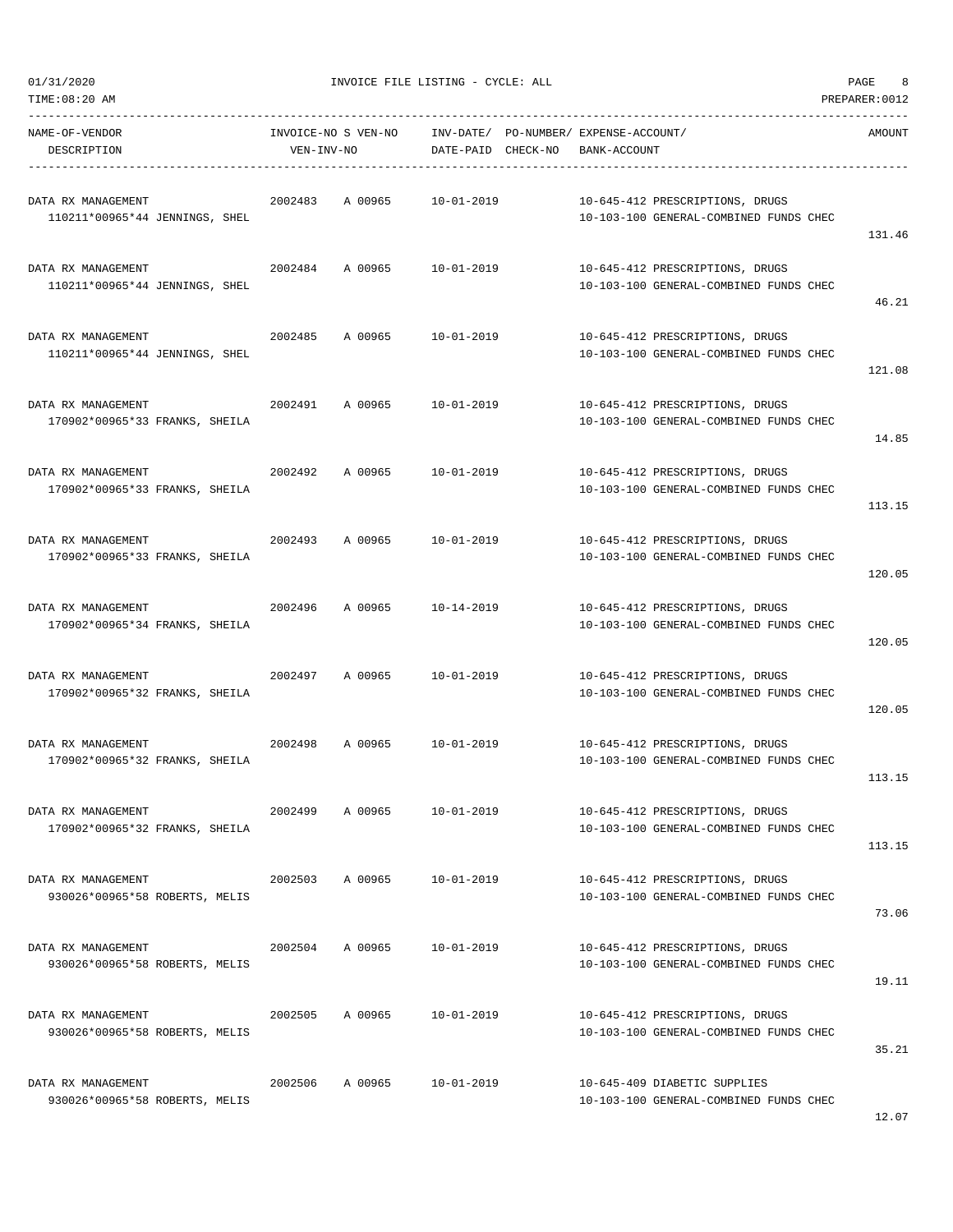$01/31/2020$  PAGE 8

| TIME:08:20 AM                                        |                     |         |                                       |              |                                                                           | PREPARER:0012 |
|------------------------------------------------------|---------------------|---------|---------------------------------------|--------------|---------------------------------------------------------------------------|---------------|
| NAME-OF-VENDOR                                       | INVOICE-NO S VEN-NO |         | INV-DATE/ PO-NUMBER/ EXPENSE-ACCOUNT/ |              |                                                                           | AMOUNT        |
| DESCRIPTION                                          | VEN-INV-NO          |         | DATE-PAID CHECK-NO                    | BANK-ACCOUNT |                                                                           |               |
| DATA RX MANAGEMENT<br>110211*00965*44 JENNINGS, SHEL | 2002483             |         | A 00965 10-01-2019                    |              | 10-645-412 PRESCRIPTIONS, DRUGS<br>10-103-100 GENERAL-COMBINED FUNDS CHEC | 131.46        |
| DATA RX MANAGEMENT<br>110211*00965*44 JENNINGS, SHEL |                     |         | 2002484 A 00965 10-01-2019            |              | 10-645-412 PRESCRIPTIONS, DRUGS<br>10-103-100 GENERAL-COMBINED FUNDS CHEC | 46.21         |
| DATA RX MANAGEMENT<br>110211*00965*44 JENNINGS, SHEL | 2002485             | A 00965 | 10-01-2019                            |              | 10-645-412 PRESCRIPTIONS, DRUGS<br>10-103-100 GENERAL-COMBINED FUNDS CHEC | 121.08        |
| DATA RX MANAGEMENT<br>170902*00965*33 FRANKS, SHEILA | 2002491             |         | A 00965 10-01-2019                    |              | 10-645-412 PRESCRIPTIONS, DRUGS<br>10-103-100 GENERAL-COMBINED FUNDS CHEC | 14.85         |
| DATA RX MANAGEMENT<br>170902*00965*33 FRANKS, SHEILA | 2002492             | A 00965 | $10 - 01 - 2019$                      |              | 10-645-412 PRESCRIPTIONS, DRUGS<br>10-103-100 GENERAL-COMBINED FUNDS CHEC | 113.15        |
| DATA RX MANAGEMENT<br>170902*00965*33 FRANKS, SHEILA | 2002493             | A 00965 | 10-01-2019                            |              | 10-645-412 PRESCRIPTIONS, DRUGS<br>10-103-100 GENERAL-COMBINED FUNDS CHEC | 120.05        |
| DATA RX MANAGEMENT<br>170902*00965*34 FRANKS, SHEILA | 2002496             | A 00965 | 10-14-2019                            |              | 10-645-412 PRESCRIPTIONS, DRUGS<br>10-103-100 GENERAL-COMBINED FUNDS CHEC | 120.05        |
| DATA RX MANAGEMENT<br>170902*00965*32 FRANKS, SHEILA | 2002497             | A 00965 | 10-01-2019                            |              | 10-645-412 PRESCRIPTIONS, DRUGS<br>10-103-100 GENERAL-COMBINED FUNDS CHEC | 120.05        |
| DATA RX MANAGEMENT<br>170902*00965*32 FRANKS, SHEILA | 2002498             |         | A 00965 10-01-2019                    |              | 10-645-412 PRESCRIPTIONS, DRUGS<br>10-103-100 GENERAL-COMBINED FUNDS CHEC | 113.15        |
| DATA RX MANAGEMENT<br>170902*00965*32 FRANKS, SHEILA | 2002499             | A 00965 | $10 - 01 - 2019$                      |              | 10-645-412 PRESCRIPTIONS, DRUGS<br>10-103-100 GENERAL-COMBINED FUNDS CHEC | 113.15        |
| DATA RX MANAGEMENT<br>930026*00965*58 ROBERTS, MELIS | 2002503             | A 00965 | $10 - 01 - 2019$                      |              | 10-645-412 PRESCRIPTIONS, DRUGS<br>10-103-100 GENERAL-COMBINED FUNDS CHEC | 73.06         |
| DATA RX MANAGEMENT<br>930026*00965*58 ROBERTS, MELIS | 2002504             | A 00965 | $10 - 01 - 2019$                      |              | 10-645-412 PRESCRIPTIONS, DRUGS<br>10-103-100 GENERAL-COMBINED FUNDS CHEC | 19.11         |
| DATA RX MANAGEMENT<br>930026*00965*58 ROBERTS, MELIS | 2002505             | A 00965 | $10 - 01 - 2019$                      |              | 10-645-412 PRESCRIPTIONS, DRUGS<br>10-103-100 GENERAL-COMBINED FUNDS CHEC | 35.21         |
| DATA RX MANAGEMENT<br>930026*00965*58 ROBERTS, MELIS | 2002506             | A 00965 | 10-01-2019                            |              | 10-645-409 DIABETIC SUPPLIES<br>10-103-100 GENERAL-COMBINED FUNDS CHEC    |               |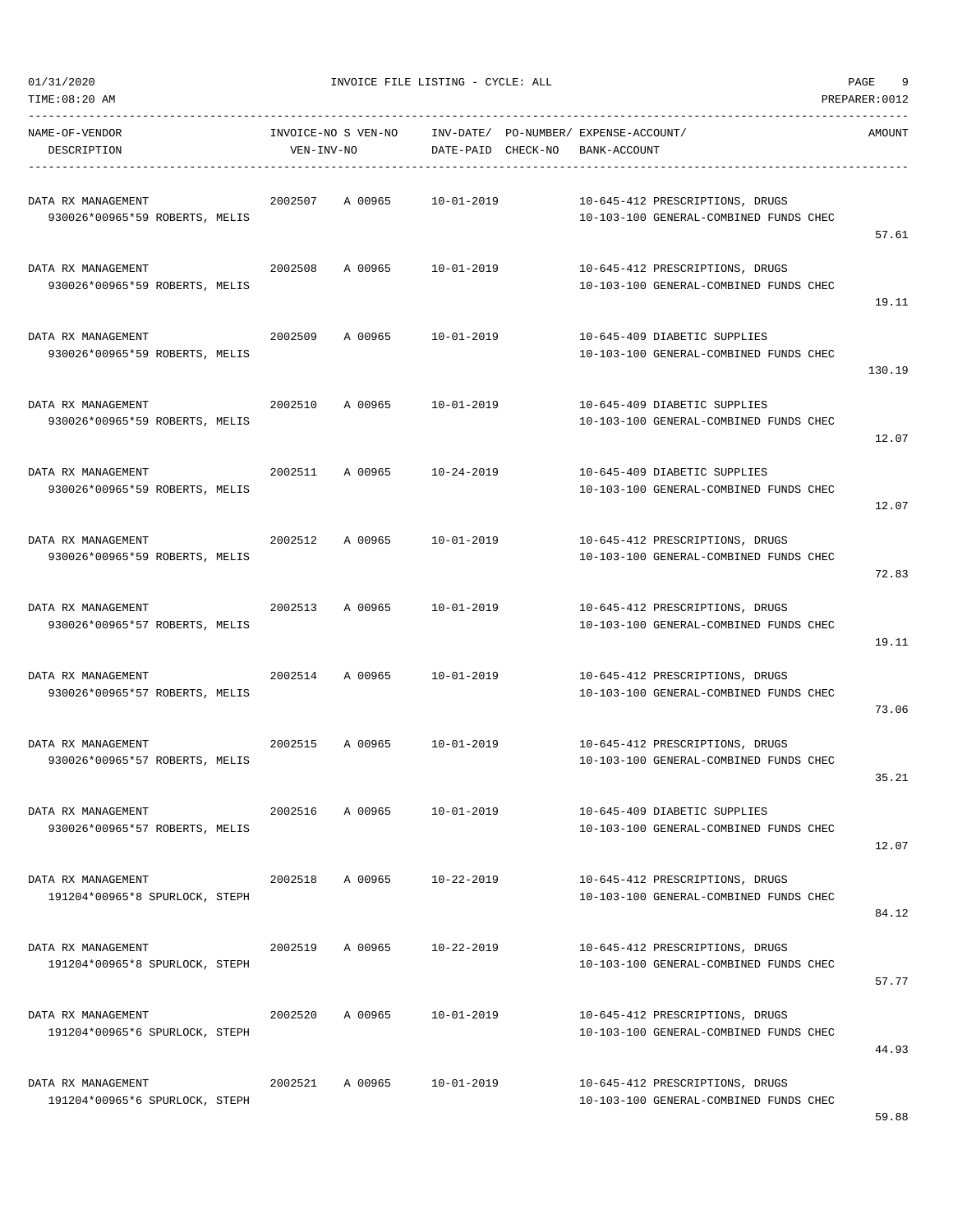| 01/31/2020<br>TIME:08:20 AM                          |                                   | INVOICE FILE LISTING - CYCLE: ALL |                    | 9<br>PAGE<br>PREPARER: 0012                                               |  |        |
|------------------------------------------------------|-----------------------------------|-----------------------------------|--------------------|---------------------------------------------------------------------------|--|--------|
| NAME-OF-VENDOR<br>DESCRIPTION                        | INVOICE-NO S VEN-NO<br>VEN-INV-NO |                                   | DATE-PAID CHECK-NO | INV-DATE/ PO-NUMBER/ EXPENSE-ACCOUNT/<br>BANK-ACCOUNT                     |  | AMOUNT |
| DATA RX MANAGEMENT<br>930026*00965*59 ROBERTS, MELIS | 2002507                           | A 00965                           | 10-01-2019         | 10-645-412 PRESCRIPTIONS, DRUGS<br>10-103-100 GENERAL-COMBINED FUNDS CHEC |  | 57.61  |
| DATA RX MANAGEMENT<br>930026*00965*59 ROBERTS, MELIS | 2002508                           | A 00965                           | $10 - 01 - 2019$   | 10-645-412 PRESCRIPTIONS, DRUGS<br>10-103-100 GENERAL-COMBINED FUNDS CHEC |  | 19.11  |
| DATA RX MANAGEMENT<br>930026*00965*59 ROBERTS, MELIS | 2002509                           | A 00965                           | $10 - 01 - 2019$   | 10-645-409 DIABETIC SUPPLIES<br>10-103-100 GENERAL-COMBINED FUNDS CHEC    |  | 130.19 |
| DATA RX MANAGEMENT<br>930026*00965*59 ROBERTS, MELIS | 2002510                           | A 00965                           | $10 - 01 - 2019$   | 10-645-409 DIABETIC SUPPLIES<br>10-103-100 GENERAL-COMBINED FUNDS CHEC    |  | 12.07  |
| DATA RX MANAGEMENT<br>930026*00965*59 ROBERTS, MELIS | 2002511                           | A 00965                           | 10-24-2019         | 10-645-409 DIABETIC SUPPLIES<br>10-103-100 GENERAL-COMBINED FUNDS CHEC    |  | 12.07  |
| DATA RX MANAGEMENT<br>930026*00965*59 ROBERTS, MELIS | 2002512                           | A 00965                           | $10 - 01 - 2019$   | 10-645-412 PRESCRIPTIONS, DRUGS<br>10-103-100 GENERAL-COMBINED FUNDS CHEC |  | 72.83  |
| DATA RX MANAGEMENT<br>930026*00965*57 ROBERTS, MELIS | 2002513                           | A 00965                           | $10 - 01 - 2019$   | 10-645-412 PRESCRIPTIONS, DRUGS<br>10-103-100 GENERAL-COMBINED FUNDS CHEC |  | 19.11  |
| DATA RX MANAGEMENT<br>930026*00965*57 ROBERTS, MELIS | 2002514                           | A 00965                           | 10-01-2019         | 10-645-412 PRESCRIPTIONS, DRUGS<br>10-103-100 GENERAL-COMBINED FUNDS CHEC |  | 73.06  |
| DATA RX MANAGEMENT<br>930026*00965*57 ROBERTS, MELIS | 2002515                           | A 00965                           | $10 - 01 - 2019$   | 10-645-412 PRESCRIPTIONS, DRUGS<br>10-103-100 GENERAL-COMBINED FUNDS CHEC |  | 35.21  |
| DATA RX MANAGEMENT<br>930026*00965*57 ROBERTS, MELIS | 2002516                           | A 00965                           | $10 - 01 - 2019$   | 10-645-409 DIABETIC SUPPLIES<br>10-103-100 GENERAL-COMBINED FUNDS CHEC    |  | 12.07  |
| DATA RX MANAGEMENT<br>191204*00965*8 SPURLOCK, STEPH | 2002518                           | A 00965                           | $10 - 22 - 2019$   | 10-645-412 PRESCRIPTIONS, DRUGS<br>10-103-100 GENERAL-COMBINED FUNDS CHEC |  | 84.12  |
| DATA RX MANAGEMENT<br>191204*00965*8 SPURLOCK, STEPH | 2002519                           | A 00965                           | 10-22-2019         | 10-645-412 PRESCRIPTIONS, DRUGS<br>10-103-100 GENERAL-COMBINED FUNDS CHEC |  | 57.77  |
| DATA RX MANAGEMENT<br>191204*00965*6 SPURLOCK, STEPH | 2002520                           | A 00965                           | $10 - 01 - 2019$   | 10-645-412 PRESCRIPTIONS, DRUGS<br>10-103-100 GENERAL-COMBINED FUNDS CHEC |  | 44.93  |
| DATA RX MANAGEMENT<br>191204*00965*6 SPURLOCK, STEPH | 2002521                           | A 00965                           | 10-01-2019         | 10-645-412 PRESCRIPTIONS, DRUGS<br>10-103-100 GENERAL-COMBINED FUNDS CHEC |  |        |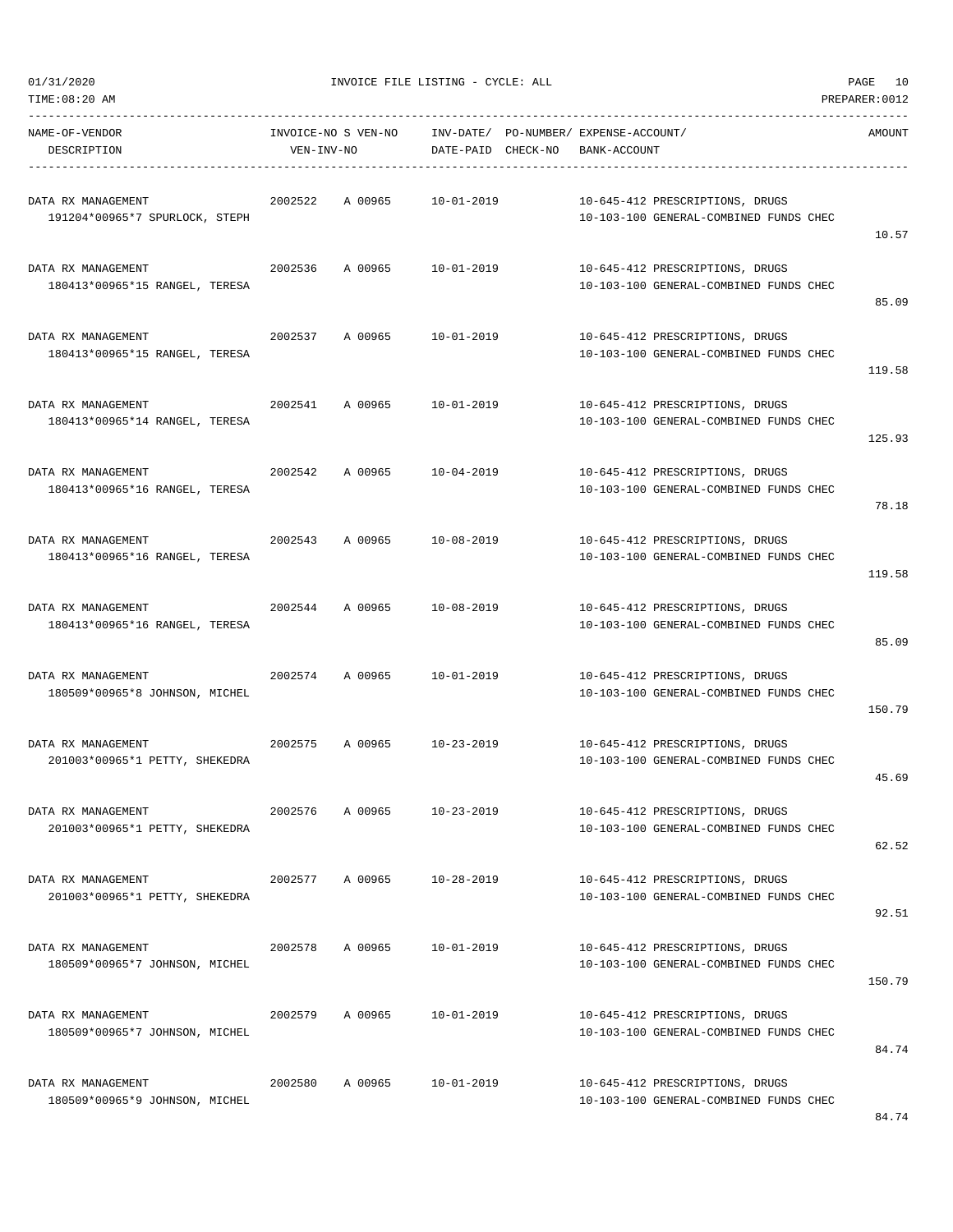01/31/2020 PAGE 10<br>TINVOICE FILE LISTING - CYCLE: ALL PAGE 10<br>TIME:08:20 AM

| TIME:08:20 AM                                        |            |                     |                                       |  |                                                                           | PREPARER: 0012 |
|------------------------------------------------------|------------|---------------------|---------------------------------------|--|---------------------------------------------------------------------------|----------------|
| NAME-OF-VENDOR                                       |            | INVOICE-NO S VEN-NO | INV-DATE/ PO-NUMBER/ EXPENSE-ACCOUNT/ |  |                                                                           | AMOUNT         |
| DESCRIPTION                                          | VEN-INV-NO |                     | DATE-PAID CHECK-NO                    |  | BANK-ACCOUNT                                                              |                |
| DATA RX MANAGEMENT<br>191204*00965*7 SPURLOCK, STEPH | 2002522    | A 00965             | 10-01-2019                            |  | 10-645-412 PRESCRIPTIONS, DRUGS<br>10-103-100 GENERAL-COMBINED FUNDS CHEC | 10.57          |
| DATA RX MANAGEMENT<br>180413*00965*15 RANGEL, TERESA | 2002536    | A 00965             | 10-01-2019                            |  | 10-645-412 PRESCRIPTIONS, DRUGS<br>10-103-100 GENERAL-COMBINED FUNDS CHEC | 85.09          |
| DATA RX MANAGEMENT<br>180413*00965*15 RANGEL, TERESA | 2002537    | A 00965             | 10-01-2019                            |  | 10-645-412 PRESCRIPTIONS, DRUGS<br>10-103-100 GENERAL-COMBINED FUNDS CHEC | 119.58         |
| DATA RX MANAGEMENT<br>180413*00965*14 RANGEL, TERESA | 2002541    | A 00965             | 10-01-2019                            |  | 10-645-412 PRESCRIPTIONS, DRUGS<br>10-103-100 GENERAL-COMBINED FUNDS CHEC | 125.93         |
| DATA RX MANAGEMENT<br>180413*00965*16 RANGEL, TERESA | 2002542    | A 00965             | $10 - 04 - 2019$                      |  | 10-645-412 PRESCRIPTIONS, DRUGS<br>10-103-100 GENERAL-COMBINED FUNDS CHEC | 78.18          |
| DATA RX MANAGEMENT<br>180413*00965*16 RANGEL, TERESA | 2002543    | A 00965             | 10-08-2019                            |  | 10-645-412 PRESCRIPTIONS, DRUGS<br>10-103-100 GENERAL-COMBINED FUNDS CHEC | 119.58         |
| DATA RX MANAGEMENT<br>180413*00965*16 RANGEL, TERESA | 2002544    | A 00965             | 10-08-2019                            |  | 10-645-412 PRESCRIPTIONS, DRUGS<br>10-103-100 GENERAL-COMBINED FUNDS CHEC | 85.09          |
| DATA RX MANAGEMENT<br>180509*00965*8 JOHNSON, MICHEL | 2002574    | A 00965             | 10-01-2019                            |  | 10-645-412 PRESCRIPTIONS, DRUGS<br>10-103-100 GENERAL-COMBINED FUNDS CHEC | 150.79         |
| DATA RX MANAGEMENT<br>201003*00965*1 PETTY, SHEKEDRA | 2002575    | A 00965             | $10 - 23 - 2019$                      |  | 10-645-412 PRESCRIPTIONS, DRUGS<br>10-103-100 GENERAL-COMBINED FUNDS CHEC | 45.69          |
| DATA RX MANAGEMENT<br>201003*00965*1 PETTY, SHEKEDRA | 2002576    | A 00965             | $10 - 23 - 2019$                      |  | 10-645-412 PRESCRIPTIONS, DRUGS<br>10-103-100 GENERAL-COMBINED FUNDS CHEC | 62.52          |
| DATA RX MANAGEMENT<br>201003*00965*1 PETTY, SHEKEDRA | 2002577    | A 00965             | 10-28-2019                            |  | 10-645-412 PRESCRIPTIONS, DRUGS<br>10-103-100 GENERAL-COMBINED FUNDS CHEC | 92.51          |
| DATA RX MANAGEMENT<br>180509*00965*7 JOHNSON, MICHEL | 2002578    | A 00965             | $10 - 01 - 2019$                      |  | 10-645-412 PRESCRIPTIONS, DRUGS<br>10-103-100 GENERAL-COMBINED FUNDS CHEC | 150.79         |
| DATA RX MANAGEMENT<br>180509*00965*7 JOHNSON, MICHEL | 2002579    | A 00965             | $10 - 01 - 2019$                      |  | 10-645-412 PRESCRIPTIONS, DRUGS<br>10-103-100 GENERAL-COMBINED FUNDS CHEC | 84.74          |
| DATA RX MANAGEMENT<br>180509*00965*9 JOHNSON, MICHEL | 2002580    | A 00965             | $10 - 01 - 2019$                      |  | 10-645-412 PRESCRIPTIONS, DRUGS<br>10-103-100 GENERAL-COMBINED FUNDS CHEC |                |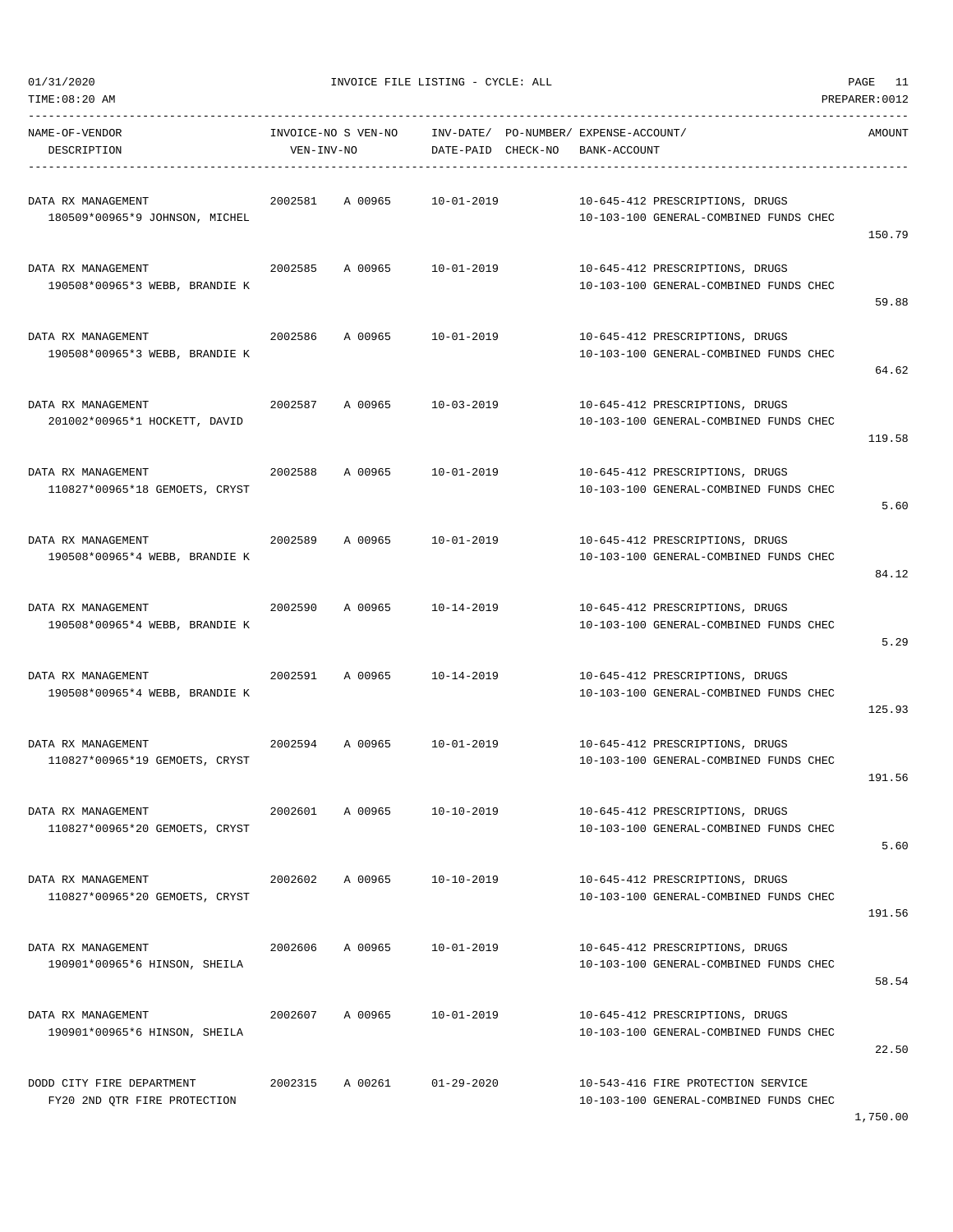| TIME:08:20 AM                                             |            |                     |                                       |              |                                                                              | PREPARER: 0012 |
|-----------------------------------------------------------|------------|---------------------|---------------------------------------|--------------|------------------------------------------------------------------------------|----------------|
| NAME-OF-VENDOR                                            |            | INVOICE-NO S VEN-NO | INV-DATE/ PO-NUMBER/ EXPENSE-ACCOUNT/ |              |                                                                              | AMOUNT         |
| DESCRIPTION                                               | VEN-INV-NO |                     | DATE-PAID CHECK-NO                    | BANK-ACCOUNT |                                                                              |                |
|                                                           |            |                     |                                       |              |                                                                              |                |
| DATA RX MANAGEMENT                                        | 2002581    | A 00965             | $10 - 01 - 2019$                      |              | 10-645-412 PRESCRIPTIONS, DRUGS                                              |                |
| 180509*00965*9 JOHNSON, MICHEL                            |            |                     |                                       |              | 10-103-100 GENERAL-COMBINED FUNDS CHEC                                       | 150.79         |
|                                                           |            |                     |                                       |              |                                                                              |                |
| DATA RX MANAGEMENT                                        | 2002585    | A 00965             | 10-01-2019                            |              | 10-645-412 PRESCRIPTIONS, DRUGS                                              |                |
| 190508*00965*3 WEBB, BRANDIE K                            |            |                     |                                       |              | 10-103-100 GENERAL-COMBINED FUNDS CHEC                                       | 59.88          |
|                                                           |            |                     |                                       |              |                                                                              |                |
| DATA RX MANAGEMENT<br>190508*00965*3 WEBB, BRANDIE K      | 2002586    | A 00965             | 10-01-2019                            |              | 10-645-412 PRESCRIPTIONS, DRUGS<br>10-103-100 GENERAL-COMBINED FUNDS CHEC    |                |
|                                                           |            |                     |                                       |              |                                                                              | 64.62          |
| DATA RX MANAGEMENT                                        | 2002587    | A 00965             | 10-03-2019                            |              |                                                                              |                |
| 201002*00965*1 HOCKETT, DAVID                             |            |                     |                                       |              | 10-645-412 PRESCRIPTIONS, DRUGS<br>10-103-100 GENERAL-COMBINED FUNDS CHEC    |                |
|                                                           |            |                     |                                       |              |                                                                              | 119.58         |
| DATA RX MANAGEMENT                                        | 2002588    | A 00965             | 10-01-2019                            |              | 10-645-412 PRESCRIPTIONS, DRUGS                                              |                |
| 110827*00965*18 GEMOETS, CRYST                            |            |                     |                                       |              | 10-103-100 GENERAL-COMBINED FUNDS CHEC                                       |                |
|                                                           |            |                     |                                       |              |                                                                              | 5.60           |
| DATA RX MANAGEMENT                                        | 2002589    | A 00965             | 10-01-2019                            |              | 10-645-412 PRESCRIPTIONS, DRUGS                                              |                |
| 190508*00965*4 WEBB, BRANDIE K                            |            |                     |                                       |              | 10-103-100 GENERAL-COMBINED FUNDS CHEC                                       |                |
|                                                           |            |                     |                                       |              |                                                                              | 84.12          |
| DATA RX MANAGEMENT                                        | 2002590    | A 00965             | 10-14-2019                            |              | 10-645-412 PRESCRIPTIONS, DRUGS                                              |                |
| 190508*00965*4 WEBB, BRANDIE K                            |            |                     |                                       |              | 10-103-100 GENERAL-COMBINED FUNDS CHEC                                       |                |
|                                                           |            |                     |                                       |              |                                                                              | 5.29           |
| DATA RX MANAGEMENT                                        | 2002591    | A 00965             | 10-14-2019                            |              | 10-645-412 PRESCRIPTIONS, DRUGS                                              |                |
| 190508*00965*4 WEBB, BRANDIE K                            |            |                     |                                       |              | 10-103-100 GENERAL-COMBINED FUNDS CHEC                                       |                |
|                                                           |            |                     |                                       |              |                                                                              | 125.93         |
| DATA RX MANAGEMENT                                        | 2002594    |                     | A 00965 10-01-2019                    |              | 10-645-412 PRESCRIPTIONS, DRUGS                                              |                |
| 110827*00965*19 GEMOETS, CRYST                            |            |                     |                                       |              | 10-103-100 GENERAL-COMBINED FUNDS CHEC                                       |                |
|                                                           |            |                     |                                       |              |                                                                              | 191.56         |
| DATA RX MANAGEMENT                                        | 2002601    | A 00965             | $10 - 10 - 2019$                      |              | 10-645-412 PRESCRIPTIONS, DRUGS                                              |                |
| 110827*00965*20 GEMOETS, CRYST                            |            |                     |                                       |              | 10-103-100 GENERAL-COMBINED FUNDS CHEC                                       | 5.60           |
|                                                           |            |                     |                                       |              |                                                                              |                |
| DATA RX MANAGEMENT                                        | 2002602    | A 00965             | 10-10-2019                            |              | 10-645-412 PRESCRIPTIONS, DRUGS                                              |                |
| 110827*00965*20 GEMOETS, CRYST                            |            |                     |                                       |              | 10-103-100 GENERAL-COMBINED FUNDS CHEC                                       | 191.56         |
|                                                           |            |                     |                                       |              |                                                                              |                |
| DATA RX MANAGEMENT                                        | 2002606    | A 00965             | $10 - 01 - 2019$                      |              | 10-645-412 PRESCRIPTIONS, DRUGS                                              |                |
| 190901*00965*6 HINSON, SHEILA                             |            |                     |                                       |              | 10-103-100 GENERAL-COMBINED FUNDS CHEC                                       | 58.54          |
|                                                           |            |                     |                                       |              |                                                                              |                |
| DATA RX MANAGEMENT<br>190901*00965*6 HINSON, SHEILA       | 2002607    | A 00965             | $10 - 01 - 2019$                      |              | 10-645-412 PRESCRIPTIONS, DRUGS<br>10-103-100 GENERAL-COMBINED FUNDS CHEC    |                |
|                                                           |            |                     |                                       |              |                                                                              | 22.50          |
|                                                           |            |                     |                                       |              |                                                                              |                |
| DODD CITY FIRE DEPARTMENT<br>FY20 2ND QTR FIRE PROTECTION | 2002315    | A 00261             | $01 - 29 - 2020$                      |              | 10-543-416 FIRE PROTECTION SERVICE<br>10-103-100 GENERAL-COMBINED FUNDS CHEC |                |

1,750.00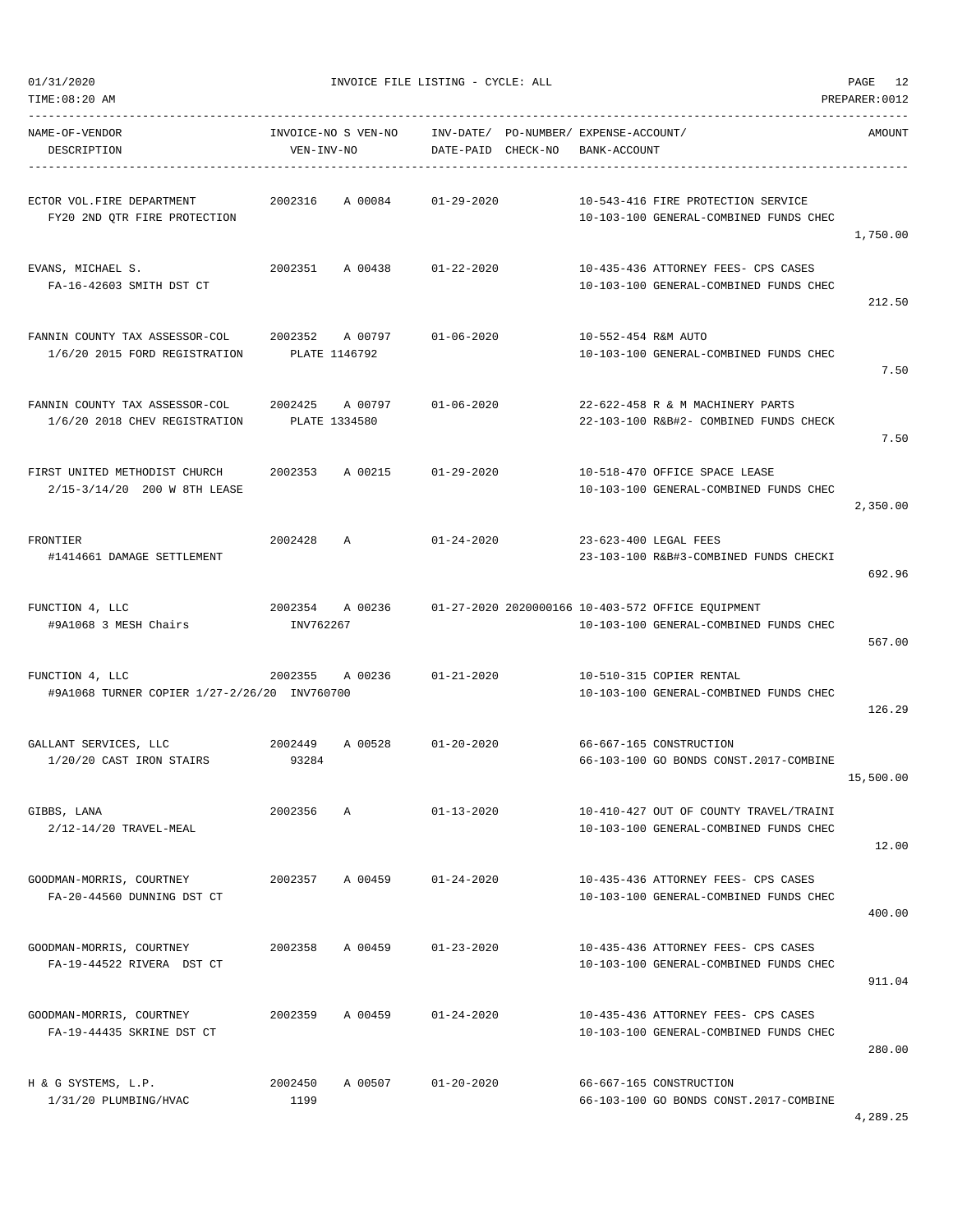| TIME:08:20 AM                                                   |                              |                          |                    |                                                       |                                                                                             | PREPARER: 0012 |
|-----------------------------------------------------------------|------------------------------|--------------------------|--------------------|-------------------------------------------------------|---------------------------------------------------------------------------------------------|----------------|
| NAME-OF-VENDOR<br>DESCRIPTION                                   | VEN-INV-NO                   | INVOICE-NO S VEN-NO      | DATE-PAID CHECK-NO | INV-DATE/ PO-NUMBER/ EXPENSE-ACCOUNT/<br>BANK-ACCOUNT |                                                                                             | AMOUNT         |
| ECTOR VOL. FIRE DEPARTMENT<br>FY20 2ND QTR FIRE PROTECTION      | 2002316                      | A 00084                  | $01 - 29 - 2020$   |                                                       | 10-543-416 FIRE PROTECTION SERVICE<br>10-103-100 GENERAL-COMBINED FUNDS CHEC                | 1,750.00       |
| EVANS, MICHAEL S.<br>FA-16-42603 SMITH DST CT                   | 2002351                      | A 00438                  | $01 - 22 - 2020$   |                                                       | 10-435-436 ATTORNEY FEES- CPS CASES<br>10-103-100 GENERAL-COMBINED FUNDS CHEC               | 212.50         |
| FANNIN COUNTY TAX ASSESSOR-COL<br>1/6/20 2015 FORD REGISTRATION | 2002352<br>PLATE 1146792     | A 00797                  | $01 - 06 - 2020$   | 10-552-454 R&M AUTO                                   | 10-103-100 GENERAL-COMBINED FUNDS CHEC                                                      | 7.50           |
| FANNIN COUNTY TAX ASSESSOR-COL<br>1/6/20 2018 CHEV REGISTRATION | 2002425                      | A 00797<br>PLATE 1334580 | $01 - 06 - 2020$   |                                                       | 22-622-458 R & M MACHINERY PARTS<br>22-103-100 R&B#2- COMBINED FUNDS CHECK                  | 7.50           |
| FIRST UNITED METHODIST CHURCH<br>2/15-3/14/20 200 W 8TH LEASE   | 2002353                      | A 00215                  | $01 - 29 - 2020$   |                                                       | 10-518-470 OFFICE SPACE LEASE<br>10-103-100 GENERAL-COMBINED FUNDS CHEC                     | 2,350.00       |
| FRONTIER<br>#1414661 DAMAGE SETTLEMENT                          | 2002428                      | $\mathbb{A}$             | $01 - 24 - 2020$   |                                                       | 23-623-400 LEGAL FEES<br>23-103-100 R&B#3-COMBINED FUNDS CHECKI                             | 692.96         |
| FUNCTION 4, LLC<br>#9A1068 3 MESH Chairs                        | 2002354 A 00236<br>INV762267 |                          |                    |                                                       | 01-27-2020 2020000166 10-403-572 OFFICE EQUIPMENT<br>10-103-100 GENERAL-COMBINED FUNDS CHEC | 567.00         |
| FUNCTION 4, LLC<br>#9A1068 TURNER COPIER 1/27-2/26/20 INV760700 | 2002355                      | A 00236                  | $01 - 21 - 2020$   |                                                       | 10-510-315 COPIER RENTAL<br>10-103-100 GENERAL-COMBINED FUNDS CHEC                          | 126.29         |
| GALLANT SERVICES, LLC<br>1/20/20 CAST IRON STAIRS               | 2002449<br>93284             | A 00528                  | $01 - 20 - 2020$   |                                                       | 66-667-165 CONSTRUCTION<br>66-103-100 GO BONDS CONST.2017-COMBINE                           | 15,500.00      |
| GIBBS, LANA<br>2/12-14/20 TRAVEL-MEAL                           | 2002356                      | Α                        | $01 - 13 - 2020$   |                                                       | 10-410-427 OUT OF COUNTY TRAVEL/TRAINI<br>10-103-100 GENERAL-COMBINED FUNDS CHEC            | 12.00          |
| GOODMAN-MORRIS, COURTNEY<br>FA-20-44560 DUNNING DST CT          | 2002357                      | A 00459                  | $01 - 24 - 2020$   |                                                       | 10-435-436 ATTORNEY FEES- CPS CASES<br>10-103-100 GENERAL-COMBINED FUNDS CHEC               | 400.00         |
| GOODMAN-MORRIS, COURTNEY<br>FA-19-44522 RIVERA DST CT           | 2002358                      | A 00459                  | $01 - 23 - 2020$   |                                                       | 10-435-436 ATTORNEY FEES- CPS CASES<br>10-103-100 GENERAL-COMBINED FUNDS CHEC               | 911.04         |
| GOODMAN-MORRIS, COURTNEY<br>FA-19-44435 SKRINE DST CT           | 2002359                      | A 00459                  | $01 - 24 - 2020$   |                                                       | 10-435-436 ATTORNEY FEES- CPS CASES<br>10-103-100 GENERAL-COMBINED FUNDS CHEC               | 280.00         |
| H & G SYSTEMS, L.P.<br>1/31/20 PLUMBING/HVAC                    | 2002450<br>1199              | A 00507                  | $01 - 20 - 2020$   |                                                       | 66-667-165 CONSTRUCTION<br>66-103-100 GO BONDS CONST.2017-COMBINE                           |                |

4,289.25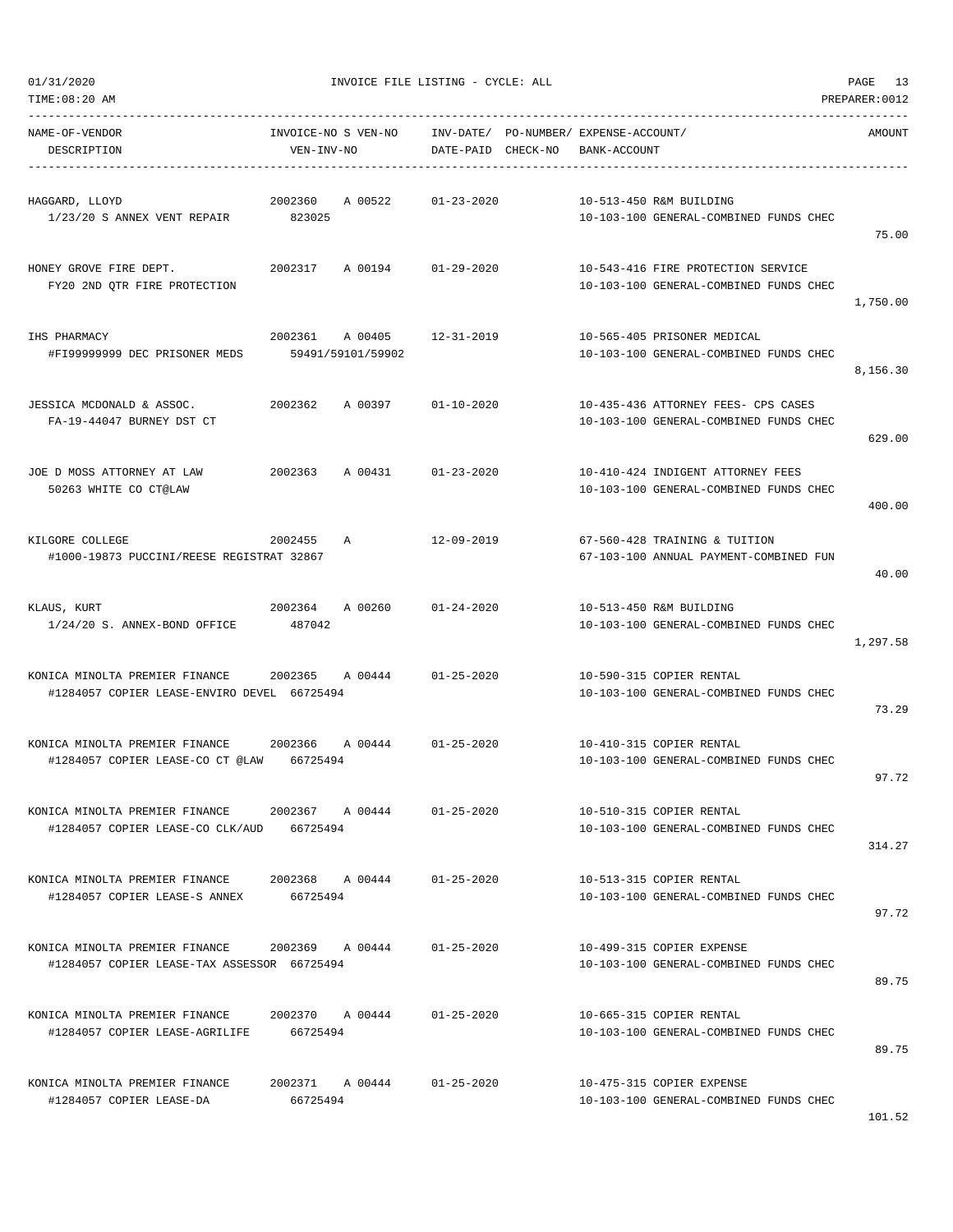| TIME:08:20 AM                                                                 |                                   |                              |                    |                                                       |                                                                               | PREPARER: 0012 |
|-------------------------------------------------------------------------------|-----------------------------------|------------------------------|--------------------|-------------------------------------------------------|-------------------------------------------------------------------------------|----------------|
| NAME-OF-VENDOR<br>DESCRIPTION                                                 | INVOICE-NO S VEN-NO<br>VEN-INV-NO |                              | DATE-PAID CHECK-NO | INV-DATE/ PO-NUMBER/ EXPENSE-ACCOUNT/<br>BANK-ACCOUNT |                                                                               | AMOUNT         |
| HAGGARD, LLOYD<br>1/23/20 S ANNEX VENT REPAIR                                 | 2002360<br>823025                 | A 00522                      | $01 - 23 - 2020$   |                                                       | 10-513-450 R&M BUILDING<br>10-103-100 GENERAL-COMBINED FUNDS CHEC             | 75.00          |
| HONEY GROVE FIRE DEPT.<br>FY20 2ND QTR FIRE PROTECTION                        | 2002317                           | A 00194                      | $01 - 29 - 2020$   |                                                       | 10-543-416 FIRE PROTECTION SERVICE<br>10-103-100 GENERAL-COMBINED FUNDS CHEC  | 1,750.00       |
| IHS PHARMACY<br>#FI99999999 DEC PRISONER MEDS                                 | 2002361                           | A 00405<br>59491/59101/59902 | 12-31-2019         |                                                       | 10-565-405 PRISONER MEDICAL<br>10-103-100 GENERAL-COMBINED FUNDS CHEC         | 8,156.30       |
| JESSICA MCDONALD & ASSOC.<br>FA-19-44047 BURNEY DST CT                        | 2002362                           | A 00397                      | $01 - 10 - 2020$   |                                                       | 10-435-436 ATTORNEY FEES- CPS CASES<br>10-103-100 GENERAL-COMBINED FUNDS CHEC | 629.00         |
| JOE D MOSS ATTORNEY AT LAW<br>50263 WHITE CO CT@LAW                           | 2002363                           | A 00431                      | $01 - 23 - 2020$   |                                                       | 10-410-424 INDIGENT ATTORNEY FEES<br>10-103-100 GENERAL-COMBINED FUNDS CHEC   | 400.00         |
| KILGORE COLLEGE<br>#1000-19873 PUCCINI/REESE REGISTRAT 32867                  | 2002455                           | A                            | 12-09-2019         |                                                       | 67-560-428 TRAINING & TUITION<br>67-103-100 ANNUAL PAYMENT-COMBINED FUN       | 40.00          |
| KLAUS, KURT<br>1/24/20 S. ANNEX-BOND OFFICE                                   | 2002364<br>487042                 | A 00260                      | $01 - 24 - 2020$   |                                                       | 10-513-450 R&M BUILDING<br>10-103-100 GENERAL-COMBINED FUNDS CHEC             | 1,297.58       |
| KONICA MINOLTA PREMIER FINANCE<br>#1284057 COPIER LEASE-ENVIRO DEVEL 66725494 | 2002365                           | A 00444                      | $01 - 25 - 2020$   |                                                       | 10-590-315 COPIER RENTAL<br>10-103-100 GENERAL-COMBINED FUNDS CHEC            | 73.29          |
| KONICA MINOLTA PREMIER FINANCE<br>#1284057 COPIER LEASE-CO CT @LAW            | 2002366<br>66725494               | A 00444                      | $01 - 25 - 2020$   |                                                       | 10-410-315 COPIER RENTAL<br>10-103-100 GENERAL-COMBINED FUNDS CHEC            | 97.72          |
| KONICA MINOLTA PREMIER FINANCE<br>#1284057 COPIER LEASE-CO CLK/AUD            | 2002367 A 00444<br>66725494       |                              | $01 - 25 - 2020$   |                                                       | 10-510-315 COPIER RENTAL<br>10-103-100 GENERAL-COMBINED FUNDS CHEC            | 314.27         |
| KONICA MINOLTA PREMIER FINANCE<br>#1284057 COPIER LEASE-S ANNEX               | 66725494                          | 2002368 A 00444              | $01 - 25 - 2020$   |                                                       | 10-513-315 COPIER RENTAL<br>10-103-100 GENERAL-COMBINED FUNDS CHEC            | 97.72          |
| KONICA MINOLTA PREMIER FINANCE<br>#1284057 COPIER LEASE-TAX ASSESSOR 66725494 | 2002369 A 00444                   |                              | $01 - 25 - 2020$   |                                                       | 10-499-315 COPIER EXPENSE<br>10-103-100 GENERAL-COMBINED FUNDS CHEC           | 89.75          |
| KONICA MINOLTA PREMIER FINANCE<br>#1284057 COPIER LEASE-AGRILIFE              | 2002370 A 00444<br>66725494       |                              | $01 - 25 - 2020$   |                                                       | 10-665-315 COPIER RENTAL<br>10-103-100 GENERAL-COMBINED FUNDS CHEC            | 89.75          |
| KONICA MINOLTA PREMIER FINANCE<br>#1284057 COPIER LEASE-DA                    | 2002371 A 00444<br>66725494       |                              | $01 - 25 - 2020$   |                                                       | 10-475-315 COPIER EXPENSE<br>10-103-100 GENERAL-COMBINED FUNDS CHEC           |                |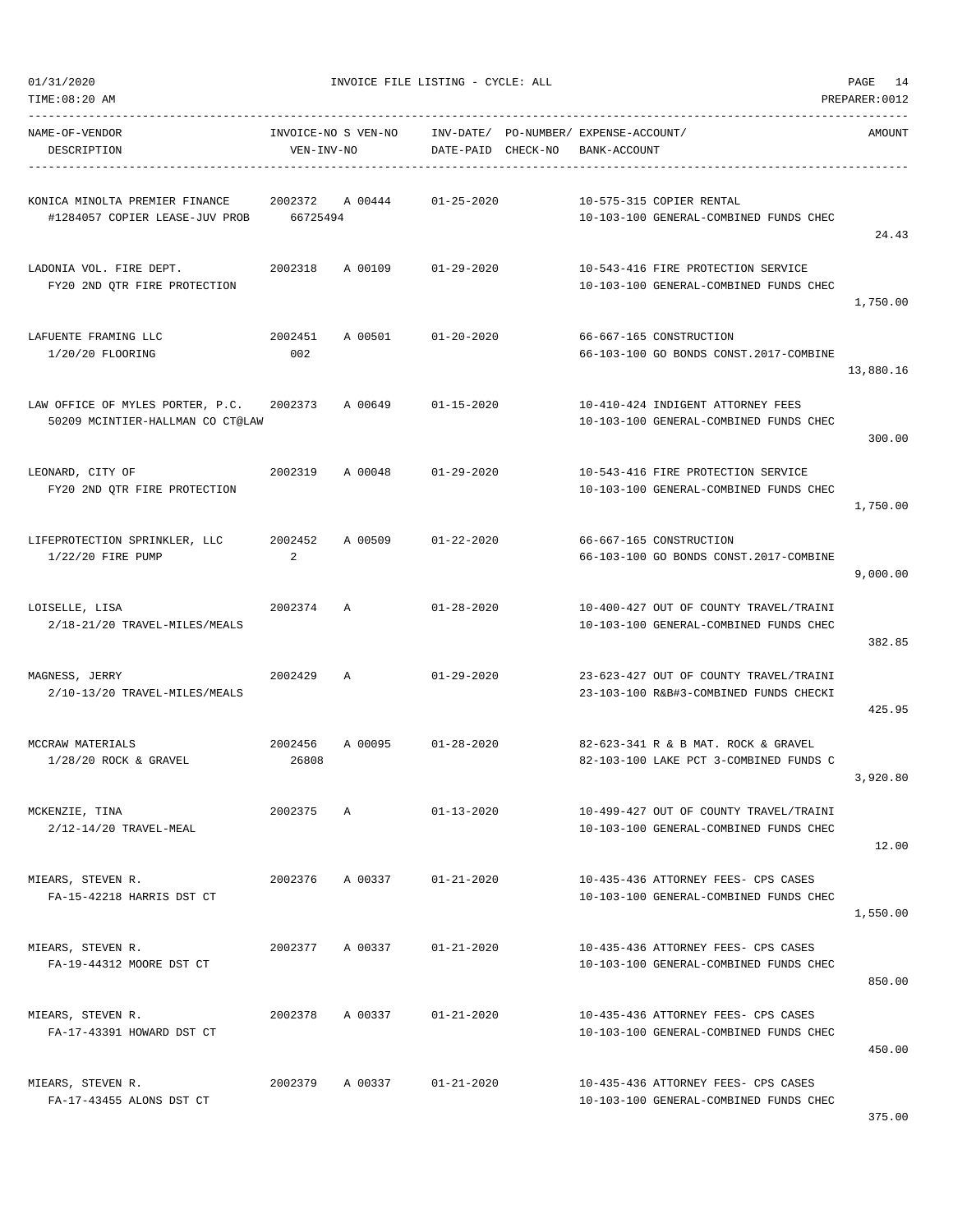|  | 01/31/2020 |
|--|------------|

| NAME-OF-VENDOR<br>DESCRIPTION                                                                            | VEN-INV-NO     | INVOICE-NO S VEN-NO      INV-DATE/ PO-NUMBER/ EXPENSE-ACCOUNT/ | DATE-PAID CHECK-NO | BANK-ACCOUNT |                                                                                  | AMOUNT    |
|----------------------------------------------------------------------------------------------------------|----------------|----------------------------------------------------------------|--------------------|--------------|----------------------------------------------------------------------------------|-----------|
| KONICA MINOLTA PREMIER FINANCE $2002372$ A 00444 $01-25-2020$<br>#1284057 COPIER LEASE-JUV PROB 66725494 |                |                                                                |                    |              | 10-575-315 COPIER RENTAL<br>10-103-100 GENERAL-COMBINED FUNDS CHEC               | 24.43     |
| FY20 2ND OTR FIRE PROTECTION                                                                             |                |                                                                |                    |              | 10-543-416 FIRE PROTECTION SERVICE<br>10-103-100 GENERAL-COMBINED FUNDS CHEC     | 1,750.00  |
| LAFUENTE FRAMING LLC<br>1/20/20 FLOORING                                                                 | 2002451<br>002 | A 00501 01-20-2020                                             |                    |              | 66-667-165 CONSTRUCTION<br>66-103-100 GO BONDS CONST. 2017-COMBINE               | 13,880.16 |
| LAW OFFICE OF MYLES PORTER, P.C. 2002373 A 00649 01-15-2020<br>50209 MCINTIER-HALLMAN CO CT@LAW          |                |                                                                |                    |              | 10-410-424 INDIGENT ATTORNEY FEES<br>10-103-100 GENERAL-COMBINED FUNDS CHEC      | 300.00    |
| LEONARD, CITY OF<br>FY20 2ND OTR FIRE PROTECTION                                                         |                | 2002319 A 00048 01-29-2020                                     |                    |              | 10-543-416 FIRE PROTECTION SERVICE<br>10-103-100 GENERAL-COMBINED FUNDS CHEC     | 1,750.00  |
| LIFEPROTECTION SPRINKLER, LLC 		 2002452 		 A 00509 		 01-22-2020<br>1/22/20 FIRE PUMP                   | $\overline{a}$ |                                                                |                    |              | 66-667-165 CONSTRUCTION<br>66-103-100 GO BONDS CONST.2017-COMBINE                | 9,000.00  |
| LOISELLE, LISA<br>2/18-21/20 TRAVEL-MILES/MEALS                                                          | 2002374 A      |                                                                | $01 - 28 - 2020$   |              | 10-400-427 OUT OF COUNTY TRAVEL/TRAINI<br>10-103-100 GENERAL-COMBINED FUNDS CHEC | 382.85    |
| 2002429 A<br>MAGNESS, JERRY<br>2/10-13/20 TRAVEL-MILES/MEALS                                             |                |                                                                | $01 - 29 - 2020$   |              | 23-623-427 OUT OF COUNTY TRAVEL/TRAINI<br>23-103-100 R&B#3-COMBINED FUNDS CHECKI | 425.95    |
| MCCRAW MATERIALS<br>$1/28/20$ ROCK & GRAVEL                                                              | 26808          | 2002456 A 00095 01-28-2020                                     |                    |              | 82-623-341 R & B MAT. ROCK & GRAVEL<br>82-103-100 LAKE PCT 3-COMBINED FUNDS C    | 3,920.80  |
| MCKENZIE, TINA<br>2/12-14/20 TRAVEL-MEAL                                                                 | 2002375 A      |                                                                | $01 - 13 - 2020$   |              | 10-499-427 OUT OF COUNTY TRAVEL/TRAINI<br>10-103-100 GENERAL-COMBINED FUNDS CHEC | 12.00     |
| MIEARS, STEVEN R.<br>FA-15-42218 HARRIS DST CT                                                           |                | 2002376 A 00337 01-21-2020                                     |                    |              | 10-435-436 ATTORNEY FEES- CPS CASES<br>10-103-100 GENERAL-COMBINED FUNDS CHEC    | 1,550.00  |
| MIEARS, STEVEN R.<br>FA-19-44312 MOORE DST CT                                                            |                | 2002377 A 00337                                                | 01-21-2020         |              | 10-435-436 ATTORNEY FEES- CPS CASES<br>10-103-100 GENERAL-COMBINED FUNDS CHEC    | 850.00    |
| MIEARS, STEVEN R.<br>FA-17-43391 HOWARD DST CT                                                           | 2002378        | A 00337                                                        | 01-21-2020         |              | 10-435-436 ATTORNEY FEES- CPS CASES<br>10-103-100 GENERAL-COMBINED FUNDS CHEC    | 450.00    |
| MIEARS, STEVEN R.<br>FA-17-43455 ALONS DST CT                                                            |                | 2002379 A 00337 01-21-2020                                     |                    |              | 10-435-436 ATTORNEY FEES- CPS CASES<br>10-103-100 GENERAL-COMBINED FUNDS CHEC    |           |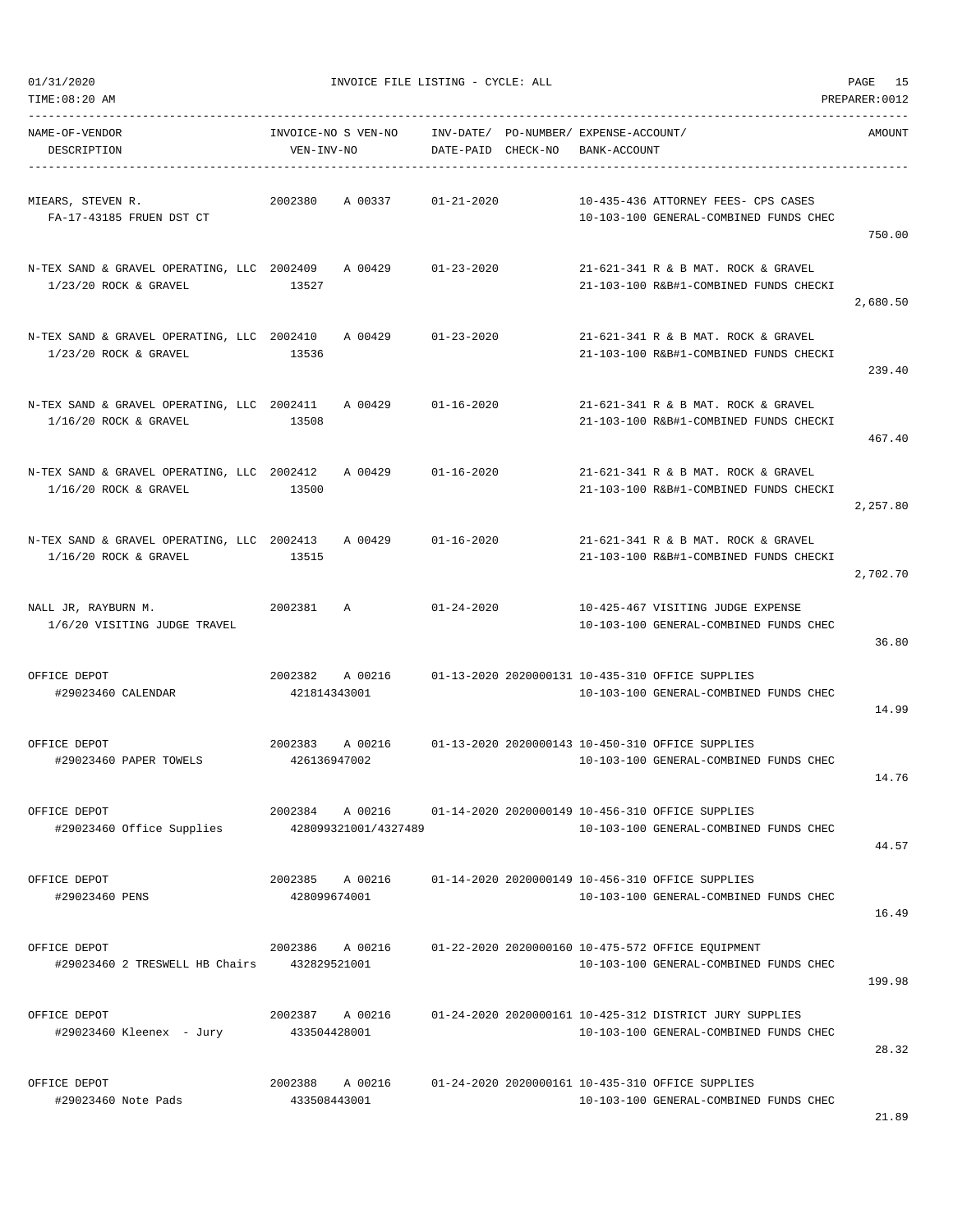| TIME:08:20 AM                                                                 |                                                                                          |                    |                                                       |                                                                                                   | PREPARER: 0012 |
|-------------------------------------------------------------------------------|------------------------------------------------------------------------------------------|--------------------|-------------------------------------------------------|---------------------------------------------------------------------------------------------------|----------------|
| NAME-OF-VENDOR<br>DESCRIPTION                                                 | INVOICE-NO S VEN-NO<br>VEN-INV-NO                                                        | DATE-PAID CHECK-NO | INV-DATE/ PO-NUMBER/ EXPENSE-ACCOUNT/<br>BANK-ACCOUNT |                                                                                                   | AMOUNT         |
| MIEARS, STEVEN R.<br>FA-17-43185 FRUEN DST CT                                 | 2002380<br>A 00337                                                                       | $01 - 21 - 2020$   |                                                       | 10-435-436 ATTORNEY FEES- CPS CASES<br>10-103-100 GENERAL-COMBINED FUNDS CHEC                     | 750.00         |
| N-TEX SAND & GRAVEL OPERATING, LLC 2002409 A 00429<br>$1/23/20$ ROCK & GRAVEL | 13527                                                                                    | $01 - 23 - 2020$   |                                                       | 21-621-341 R & B MAT. ROCK & GRAVEL<br>21-103-100 R&B#1-COMBINED FUNDS CHECKI                     | 2,680.50       |
| N-TEX SAND & GRAVEL OPERATING, LLC 2002410<br>$1/23/20$ ROCK & GRAVEL         | A 00429<br>13536                                                                         | $01 - 23 - 2020$   |                                                       | 21-621-341 R & B MAT. ROCK & GRAVEL<br>21-103-100 R&B#1-COMBINED FUNDS CHECKI                     | 239.40         |
| N-TEX SAND & GRAVEL OPERATING, LLC 2002411<br>$1/16/20$ ROCK & GRAVEL         | A 00429<br>13508                                                                         | $01 - 16 - 2020$   |                                                       | 21-621-341 R & B MAT, ROCK & GRAVEL<br>21-103-100 R&B#1-COMBINED FUNDS CHECKI                     | 467.40         |
| N-TEX SAND & GRAVEL OPERATING, LLC 2002412<br>$1/16/20$ ROCK & GRAVEL         | A 00429<br>13500                                                                         | $01 - 16 - 2020$   |                                                       | 21-621-341 R & B MAT. ROCK & GRAVEL<br>21-103-100 R&B#1-COMBINED FUNDS CHECKI                     | 2,257.80       |
| N-TEX SAND & GRAVEL OPERATING, LLC 2002413<br>$1/16/20$ ROCK & GRAVEL         | A 00429<br>13515                                                                         | $01 - 16 - 2020$   |                                                       | 21-621-341 R & B MAT. ROCK & GRAVEL<br>21-103-100 R&B#1-COMBINED FUNDS CHECKI                     | 2,702.70       |
| NALL JR, RAYBURN M.<br>1/6/20 VISITING JUDGE TRAVEL                           | 2002381<br>A                                                                             | $01 - 24 - 2020$   |                                                       | 10-425-467 VISITING JUDGE EXPENSE<br>10-103-100 GENERAL-COMBINED FUNDS CHEC                       | 36.80          |
| OFFICE DEPOT<br>#29023460 CALENDAR                                            | 2002382<br>A 00216<br>421814343001                                                       |                    |                                                       | 01-13-2020 2020000131 10-435-310 OFFICE SUPPLIES<br>10-103-100 GENERAL-COMBINED FUNDS CHEC        | 14.99          |
| OFFICE DEPOT<br>#29023460 PAPER TOWELS                                        | 2002383<br>A 00216<br>426136947002                                                       |                    |                                                       | 01-13-2020 2020000143 10-450-310 OFFICE SUPPLIES<br>10-103-100 GENERAL-COMBINED FUNDS CHEC        | 14.76          |
| OFFICE DEPOT<br>#29023460 Office Supplies                                     | 2002384 A 00216 01-14-2020 2020000149 10-456-310 OFFICE SUPPLIES<br>428099321001/4327489 |                    |                                                       | 10-103-100 GENERAL-COMBINED FUNDS CHEC                                                            | 44.57          |
| OFFICE DEPOT<br>#29023460 PENS                                                | 2002385 A 00216<br>428099674001                                                          |                    |                                                       | 01-14-2020 2020000149 10-456-310 OFFICE SUPPLIES<br>10-103-100 GENERAL-COMBINED FUNDS CHEC        | 16.49          |
| OFFICE DEPOT<br>#29023460 2 TRESWELL HB Chairs 432829521001                   | 2002386 A 00216                                                                          |                    |                                                       | 01-22-2020 2020000160 10-475-572 OFFICE EQUIPMENT<br>10-103-100 GENERAL-COMBINED FUNDS CHEC       | 199.98         |
| OFFICE DEPOT<br>#29023460 Kleenex - Jury                                      | 2002387 A 00216<br>433504428001                                                          |                    |                                                       | 01-24-2020 2020000161 10-425-312 DISTRICT JURY SUPPLIES<br>10-103-100 GENERAL-COMBINED FUNDS CHEC | 28.32          |
| OFFICE DEPOT<br>#29023460 Note Pads                                           | 2002388 A 00216<br>433508443001                                                          |                    |                                                       | 01-24-2020 2020000161 10-435-310 OFFICE SUPPLIES<br>10-103-100 GENERAL-COMBINED FUNDS CHEC        |                |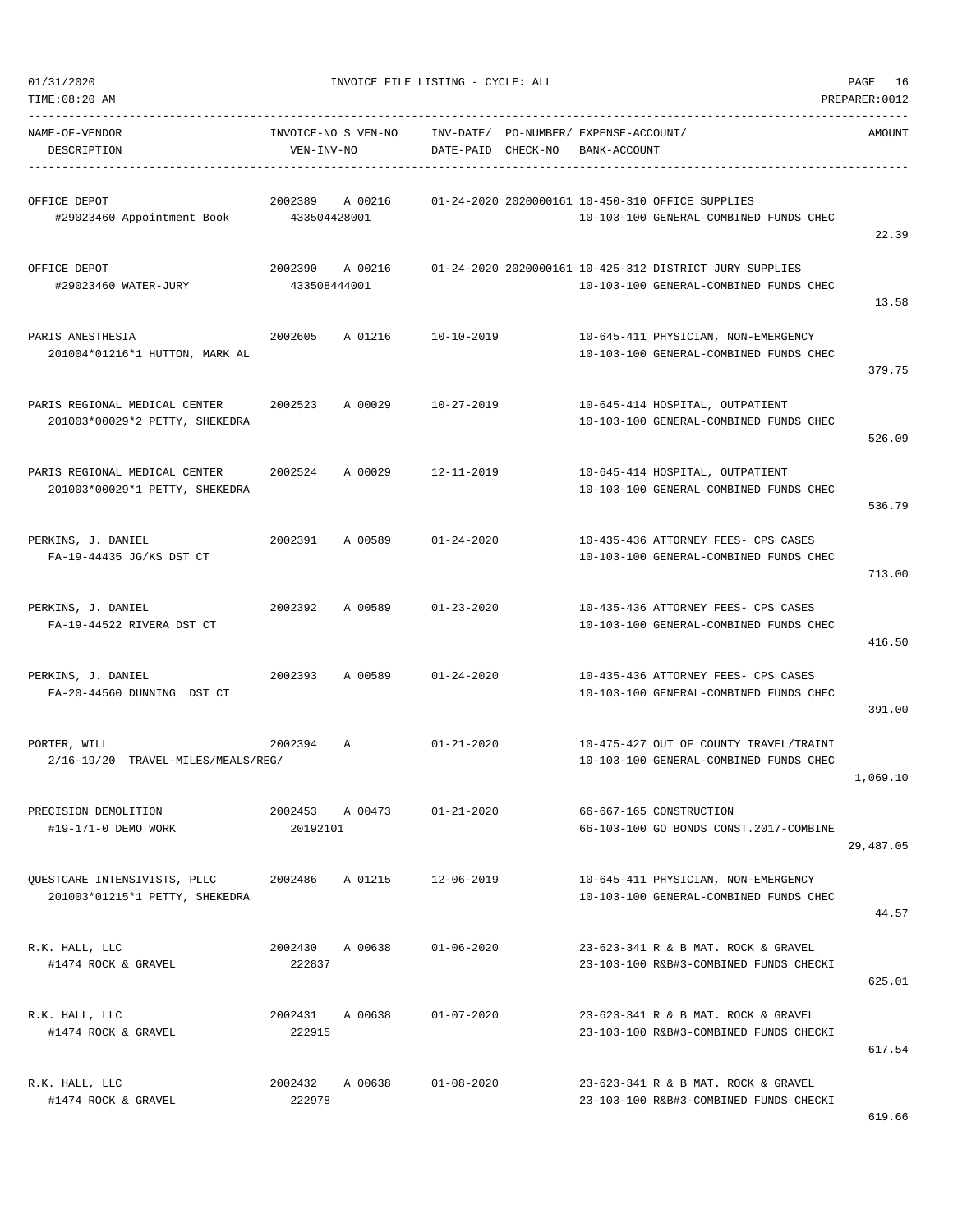| TIME:08:20 AM                                                           |                                   |         |                    |                                                                                                   | PREPARER: 0012 |
|-------------------------------------------------------------------------|-----------------------------------|---------|--------------------|---------------------------------------------------------------------------------------------------|----------------|
| NAME-OF-VENDOR<br>DESCRIPTION                                           | INVOICE-NO S VEN-NO<br>VEN-INV-NO |         |                    | INV-DATE/ PO-NUMBER/ EXPENSE-ACCOUNT/<br>DATE-PAID CHECK-NO BANK-ACCOUNT                          | AMOUNT         |
| OFFICE DEPOT<br>#29023460 Appointment Book 433504428001                 | 2002389 A 00216                   |         |                    | 01-24-2020 2020000161 10-450-310 OFFICE SUPPLIES<br>10-103-100 GENERAL-COMBINED FUNDS CHEC        | 22.39          |
| OFFICE DEPOT<br>#29023460 WATER-JURY                                    | 2002390<br>433508444001           | A 00216 |                    | 01-24-2020 2020000161 10-425-312 DISTRICT JURY SUPPLIES<br>10-103-100 GENERAL-COMBINED FUNDS CHEC | 13.58          |
| PARIS ANESTHESIA<br>201004*01216*1 HUTTON, MARK AL                      | 2002605                           | A 01216 | 10-10-2019         | 10-645-411 PHYSICIAN, NON-EMERGENCY<br>10-103-100 GENERAL-COMBINED FUNDS CHEC                     | 379.75         |
| PARIS REGIONAL MEDICAL CENTER<br>201003*00029*2 PETTY, SHEKEDRA         | 2002523                           |         | A 00029 10-27-2019 | 10-645-414 HOSPITAL, OUTPATIENT<br>10-103-100 GENERAL-COMBINED FUNDS CHEC                         | 526.09         |
| PARIS REGIONAL MEDICAL CENTER 2002524<br>201003*00029*1 PETTY, SHEKEDRA |                                   | A 00029 | $12 - 11 - 2019$   | 10-645-414 HOSPITAL, OUTPATIENT<br>10-103-100 GENERAL-COMBINED FUNDS CHEC                         | 536.79         |
| PERKINS, J. DANIEL<br>FA-19-44435 JG/KS DST CT                          | 2002391 A 00589                   |         | 01-24-2020         | 10-435-436 ATTORNEY FEES- CPS CASES<br>10-103-100 GENERAL-COMBINED FUNDS CHEC                     | 713.00         |
| PERKINS, J. DANIEL<br>FA-19-44522 RIVERA DST CT                         | 2002392                           | A 00589 | $01 - 23 - 2020$   | 10-435-436 ATTORNEY FEES- CPS CASES<br>10-103-100 GENERAL-COMBINED FUNDS CHEC                     | 416.50         |
| PERKINS, J. DANIEL<br>FA-20-44560 DUNNING DST CT                        | 2002393                           | A 00589 | $01 - 24 - 2020$   | 10-435-436 ATTORNEY FEES- CPS CASES<br>10-103-100 GENERAL-COMBINED FUNDS CHEC                     | 391.00         |
| PORTER, WILL<br>2/16-19/20 TRAVEL-MILES/MEALS/REG/                      | 2002394<br>$\mathbb{A}$           |         | $01 - 21 - 2020$   | 10-475-427 OUT OF COUNTY TRAVEL/TRAINI<br>10-103-100 GENERAL-COMBINED FUNDS CHEC                  | 1,069.10       |
| PRECISION DEMOLITION<br>#19-171-0 DEMO WORK                             | 2002453 A 00473<br>20192101       |         | $01 - 21 - 2020$   | 66-667-165 CONSTRUCTION<br>66-103-100 GO BONDS CONST.2017-COMBINE                                 | 29,487.05      |
| OUESTCARE INTENSIVISTS, PLLC<br>201003*01215*1 PETTY, SHEKEDRA          | 2002486                           | A 01215 | 12-06-2019         | 10-645-411 PHYSICIAN, NON-EMERGENCY<br>10-103-100 GENERAL-COMBINED FUNDS CHEC                     | 44.57          |
| R.K. HALL, LLC<br>#1474 ROCK & GRAVEL                                   | 2002430<br>222837                 | A 00638 | $01 - 06 - 2020$   | 23-623-341 R & B MAT. ROCK & GRAVEL<br>23-103-100 R&B#3-COMBINED FUNDS CHECKI                     | 625.01         |
| R.K. HALL, LLC<br>#1474 ROCK & GRAVEL                                   | 2002431<br>222915                 | A 00638 | $01 - 07 - 2020$   | 23-623-341 R & B MAT. ROCK & GRAVEL<br>23-103-100 R&B#3-COMBINED FUNDS CHECKI                     | 617.54         |
| R.K. HALL, LLC<br>#1474 ROCK & GRAVEL                                   | 2002432<br>222978                 | A 00638 | $01 - 08 - 2020$   | 23-623-341 R & B MAT. ROCK & GRAVEL<br>23-103-100 R&B#3-COMBINED FUNDS CHECKI                     |                |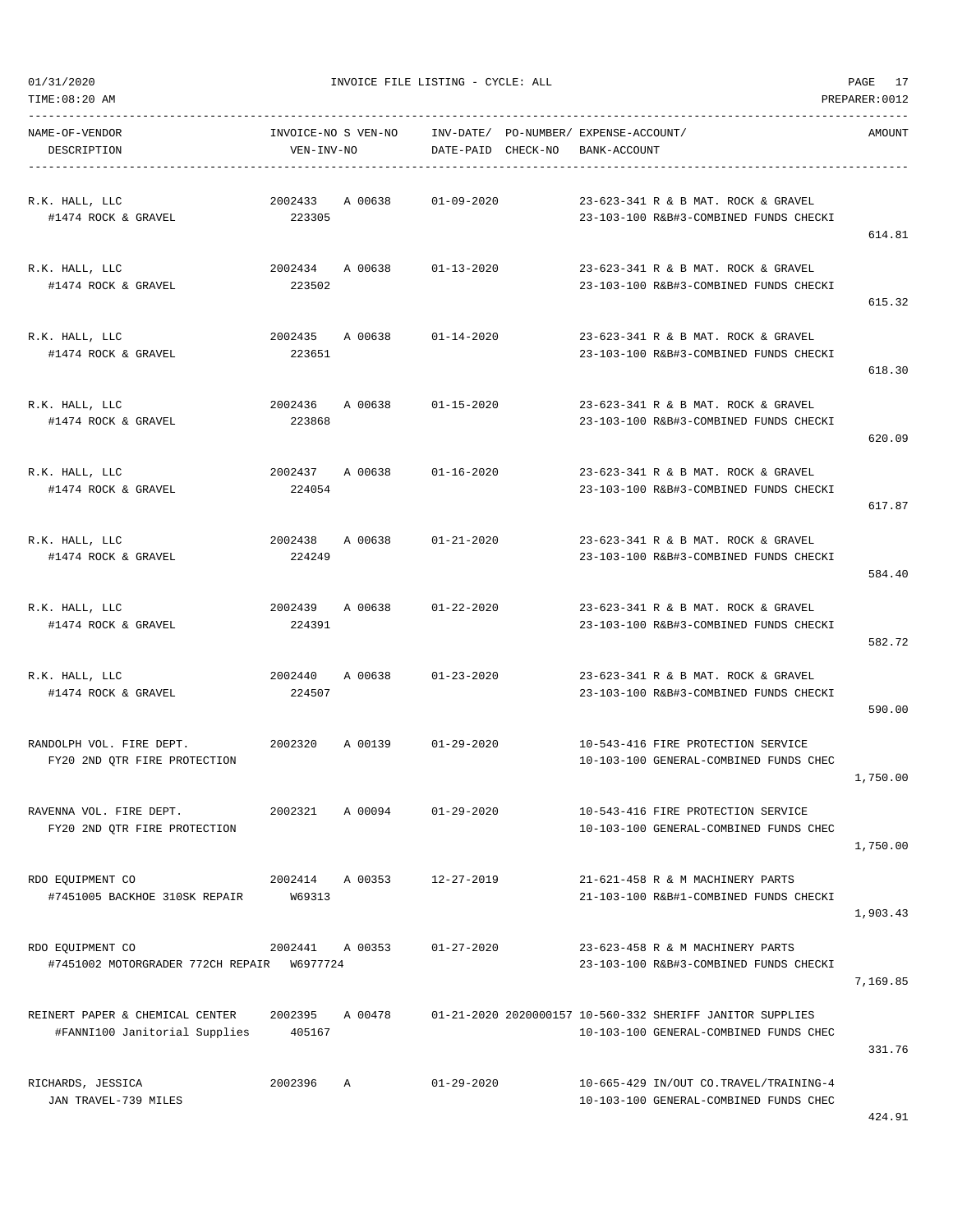| TIME:08:20 AM                                                    |                                   |         |                                 |                                                                                                     | PREPARER: 0012 |
|------------------------------------------------------------------|-----------------------------------|---------|---------------------------------|-----------------------------------------------------------------------------------------------------|----------------|
| NAME-OF-VENDOR<br>DESCRIPTION                                    | INVOICE-NO S VEN-NO<br>VEN-INV-NO |         | INV-DATE/<br>DATE-PAID CHECK-NO | PO-NUMBER/ EXPENSE-ACCOUNT/<br>BANK-ACCOUNT                                                         | AMOUNT         |
| R.K. HALL, LLC<br>#1474 ROCK & GRAVEL                            | 2002433<br>223305                 | A 00638 | $01 - 09 - 2020$                | 23-623-341 R & B MAT. ROCK & GRAVEL<br>23-103-100 R&B#3-COMBINED FUNDS CHECKI                       | 614.81         |
| R.K. HALL, LLC<br>#1474 ROCK & GRAVEL                            | 2002434 A 00638<br>223502         |         | $01 - 13 - 2020$                | 23-623-341 R & B MAT. ROCK & GRAVEL<br>23-103-100 R&B#3-COMBINED FUNDS CHECKI                       | 615.32         |
| R.K. HALL, LLC<br>#1474 ROCK & GRAVEL                            | 2002435<br>223651                 | A 00638 | $01 - 14 - 2020$                | 23-623-341 R & B MAT. ROCK & GRAVEL<br>23-103-100 R&B#3-COMBINED FUNDS CHECKI                       | 618.30         |
| R.K. HALL, LLC<br>#1474 ROCK & GRAVEL                            | 2002436<br>223868                 | A 00638 | $01 - 15 - 2020$                | 23-623-341 R & B MAT. ROCK & GRAVEL<br>23-103-100 R&B#3-COMBINED FUNDS CHECKI                       | 620.09         |
| R.K. HALL, LLC<br>#1474 ROCK & GRAVEL                            | 2002437 A 00638<br>224054         |         | $01 - 16 - 2020$                | 23-623-341 R & B MAT. ROCK & GRAVEL<br>23-103-100 R&B#3-COMBINED FUNDS CHECKI                       | 617.87         |
| R.K. HALL, LLC<br>#1474 ROCK & GRAVEL                            | 2002438<br>224249                 | A 00638 | $01 - 21 - 2020$                | 23-623-341 R & B MAT. ROCK & GRAVEL<br>23-103-100 R&B#3-COMBINED FUNDS CHECKI                       | 584.40         |
| R.K. HALL, LLC<br>#1474 ROCK & GRAVEL                            | 2002439<br>224391                 | A 00638 | $01 - 22 - 2020$                | 23-623-341 R & B MAT. ROCK & GRAVEL<br>23-103-100 R&B#3-COMBINED FUNDS CHECKI                       | 582.72         |
| R.K. HALL, LLC<br>#1474 ROCK & GRAVEL                            | 2002440<br>224507                 | A 00638 | $01 - 23 - 2020$                | 23-623-341 R & B MAT. ROCK & GRAVEL<br>23-103-100 R&B#3-COMBINED FUNDS CHECKI                       | 590.00         |
| RANDOLPH VOL. FIRE DEPT.<br>FY20 2ND OTR FIRE PROTECTION         | 2002320                           | A 00139 | $01 - 29 - 2020$                | 10-543-416 FIRE PROTECTION SERVICE<br>10-103-100 GENERAL-COMBINED FUNDS CHEC                        | 1,750.00       |
| RAVENNA VOL. FIRE DEPT.<br>FY20 2ND QTR FIRE PROTECTION          | 2002321                           | A 00094 | $01 - 29 - 2020$                | 10-543-416 FIRE PROTECTION SERVICE<br>10-103-100 GENERAL-COMBINED FUNDS CHEC                        | 1,750.00       |
| RDO EQUIPMENT CO<br>#7451005 BACKHOE 310SK REPAIR                | 2002414 A 00353<br>W69313         |         | $12 - 27 - 2019$                | 21-621-458 R & M MACHINERY PARTS<br>21-103-100 R&B#1-COMBINED FUNDS CHECKI                          | 1,903.43       |
| RDO EQUIPMENT CO<br>#7451002 MOTORGRADER 772CH REPAIR W6977724   | 2002441                           | A 00353 | $01 - 27 - 2020$                | 23-623-458 R & M MACHINERY PARTS<br>23-103-100 R&B#3-COMBINED FUNDS CHECKI                          | 7,169.85       |
| REINERT PAPER & CHEMICAL CENTER<br>#FANNI100 Janitorial Supplies | 2002395<br>405167                 | A 00478 |                                 | 01-21-2020 2020000157 10-560-332 SHERIFF JANITOR SUPPLIES<br>10-103-100 GENERAL-COMBINED FUNDS CHEC | 331.76         |
| RICHARDS, JESSICA<br>JAN TRAVEL-739 MILES                        | 2002396                           | Α       | $01 - 29 - 2020$                | 10-665-429 IN/OUT CO.TRAVEL/TRAINING-4<br>10-103-100 GENERAL-COMBINED FUNDS CHEC                    |                |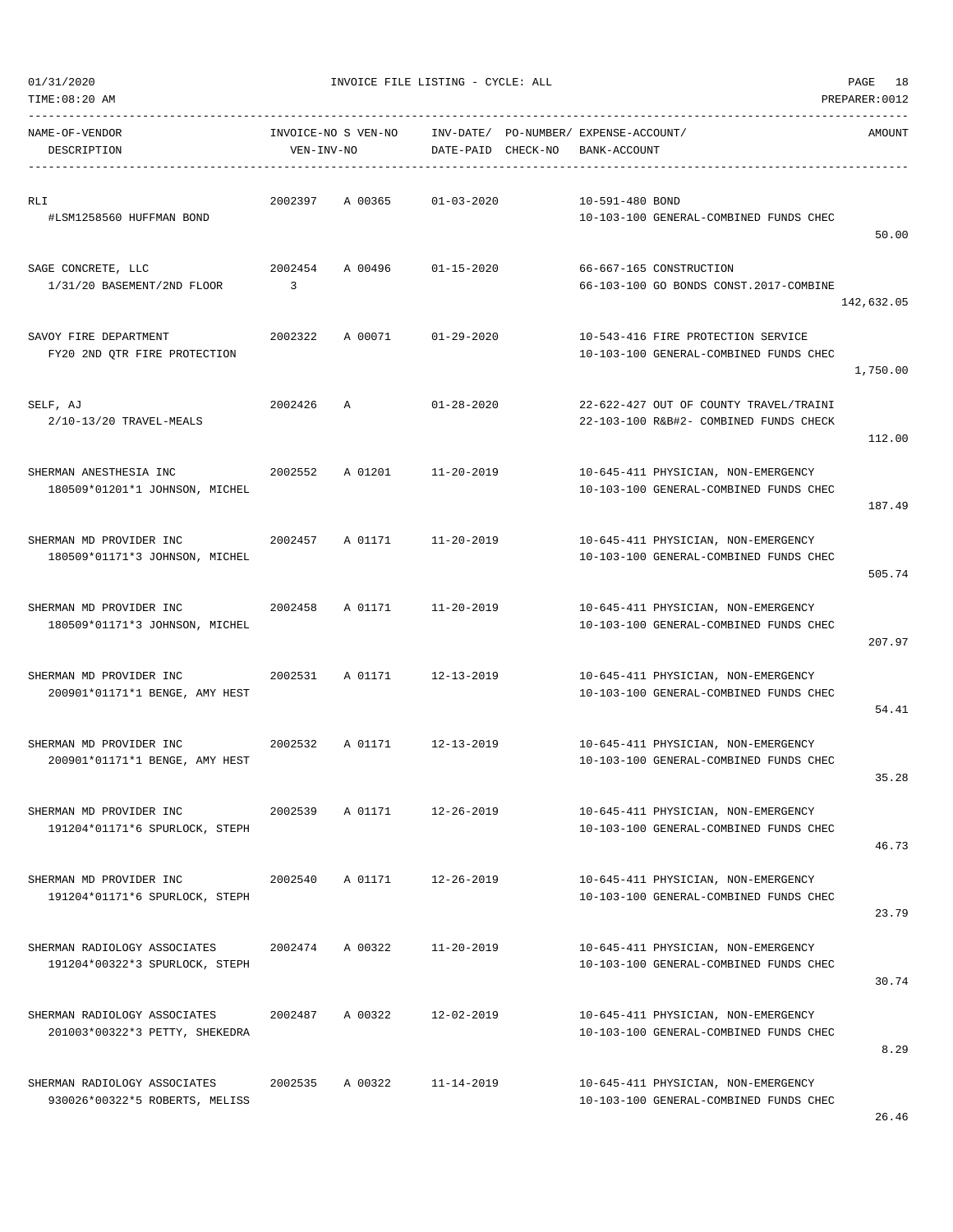|  | 01/31/2020 |  |
|--|------------|--|
|  |            |  |

| NAME-OF-VENDOR<br>DESCRIPTION                                        | VEN-INV-NO                | INVOICE-NO S VEN-NO | INV-DATE/ PO-NUMBER/ EXPENSE-ACCOUNT/<br>DATE-PAID CHECK-NO | BANK-ACCOUNT    |                                                                                  | AMOUNT     |
|----------------------------------------------------------------------|---------------------------|---------------------|-------------------------------------------------------------|-----------------|----------------------------------------------------------------------------------|------------|
| RLI<br>#LSM1258560 HUFFMAN BOND                                      | 2002397                   |                     | A 00365 01-03-2020                                          | 10-591-480 BOND | 10-103-100 GENERAL-COMBINED FUNDS CHEC                                           | 50.00      |
| SAGE CONCRETE, LLC<br>1/31/20 BASEMENT/2ND FLOOR                     | 2002454<br>$\overline{3}$ |                     | A 00496 01-15-2020                                          |                 | 66-667-165 CONSTRUCTION<br>66-103-100 GO BONDS CONST.2017-COMBINE                | 142,632.05 |
| SAVOY FIRE DEPARTMENT<br>FY20 2ND QTR FIRE PROTECTION                | 2002322                   |                     | A 00071 01-29-2020                                          |                 | 10-543-416 FIRE PROTECTION SERVICE<br>10-103-100 GENERAL-COMBINED FUNDS CHEC     | 1,750.00   |
| SELF, AJ<br>2/10-13/20 TRAVEL-MEALS                                  | 2002426                   | $\mathbb{A}$        | $01 - 28 - 2020$                                            |                 | 22-622-427 OUT OF COUNTY TRAVEL/TRAINI<br>22-103-100 R&B#2- COMBINED FUNDS CHECK | 112.00     |
| SHERMAN ANESTHESIA INC<br>180509*01201*1 JOHNSON, MICHEL             | 2002552                   |                     | A 01201 11-20-2019                                          |                 | 10-645-411 PHYSICIAN, NON-EMERGENCY<br>10-103-100 GENERAL-COMBINED FUNDS CHEC    | 187.49     |
| SHERMAN MD PROVIDER INC<br>2002457<br>180509*01171*3 JOHNSON, MICHEL |                           | A 01171             | $11 - 20 - 2019$                                            |                 | 10-645-411 PHYSICIAN, NON-EMERGENCY<br>10-103-100 GENERAL-COMBINED FUNDS CHEC    | 505.74     |
| SHERMAN MD PROVIDER INC<br>180509*01171*3 JOHNSON, MICHEL            | 2002458                   | A 01171             | 11-20-2019                                                  |                 | 10-645-411 PHYSICIAN, NON-EMERGENCY<br>10-103-100 GENERAL-COMBINED FUNDS CHEC    | 207.97     |
| SHERMAN MD PROVIDER INC<br>200901*01171*1 BENGE, AMY HEST            | 2002531                   | A 01171             | 12-13-2019                                                  |                 | 10-645-411 PHYSICIAN, NON-EMERGENCY<br>10-103-100 GENERAL-COMBINED FUNDS CHEC    | 54.41      |
| 2002532<br>SHERMAN MD PROVIDER INC<br>200901*01171*1 BENGE, AMY HEST |                           | A 01171             | $12 - 13 - 2019$                                            |                 | 10-645-411 PHYSICIAN, NON-EMERGENCY<br>10-103-100 GENERAL-COMBINED FUNDS CHEC    | 35.28      |
| SHERMAN MD PROVIDER INC<br>191204*01171*6 SPURLOCK, STEPH            | 2002539                   | A 01171             | $12 - 26 - 2019$                                            |                 | 10-645-411 PHYSICIAN, NON-EMERGENCY<br>10-103-100 GENERAL-COMBINED FUNDS CHEC    | 46.73      |
| SHERMAN MD PROVIDER INC<br>191204*01171*6 SPURLOCK, STEPH            | 2002540                   | A 01171             | $12 - 26 - 2019$                                            |                 | 10-645-411 PHYSICIAN, NON-EMERGENCY<br>10-103-100 GENERAL-COMBINED FUNDS CHEC    | 23.79      |
| SHERMAN RADIOLOGY ASSOCIATES<br>191204*00322*3 SPURLOCK, STEPH       | 2002474                   | A 00322             | $11 - 20 - 2019$                                            |                 | 10-645-411 PHYSICIAN, NON-EMERGENCY<br>10-103-100 GENERAL-COMBINED FUNDS CHEC    | 30.74      |
| SHERMAN RADIOLOGY ASSOCIATES<br>201003*00322*3 PETTY, SHEKEDRA       | 2002487                   | A 00322             | $12 - 02 - 2019$                                            |                 | 10-645-411 PHYSICIAN, NON-EMERGENCY<br>10-103-100 GENERAL-COMBINED FUNDS CHEC    | 8.29       |
| SHERMAN RADIOLOGY ASSOCIATES<br>930026*00322*5 ROBERTS, MELISS       | 2002535                   | A 00322             | $11 - 14 - 2019$                                            |                 | 10-645-411 PHYSICIAN, NON-EMERGENCY<br>10-103-100 GENERAL-COMBINED FUNDS CHEC    |            |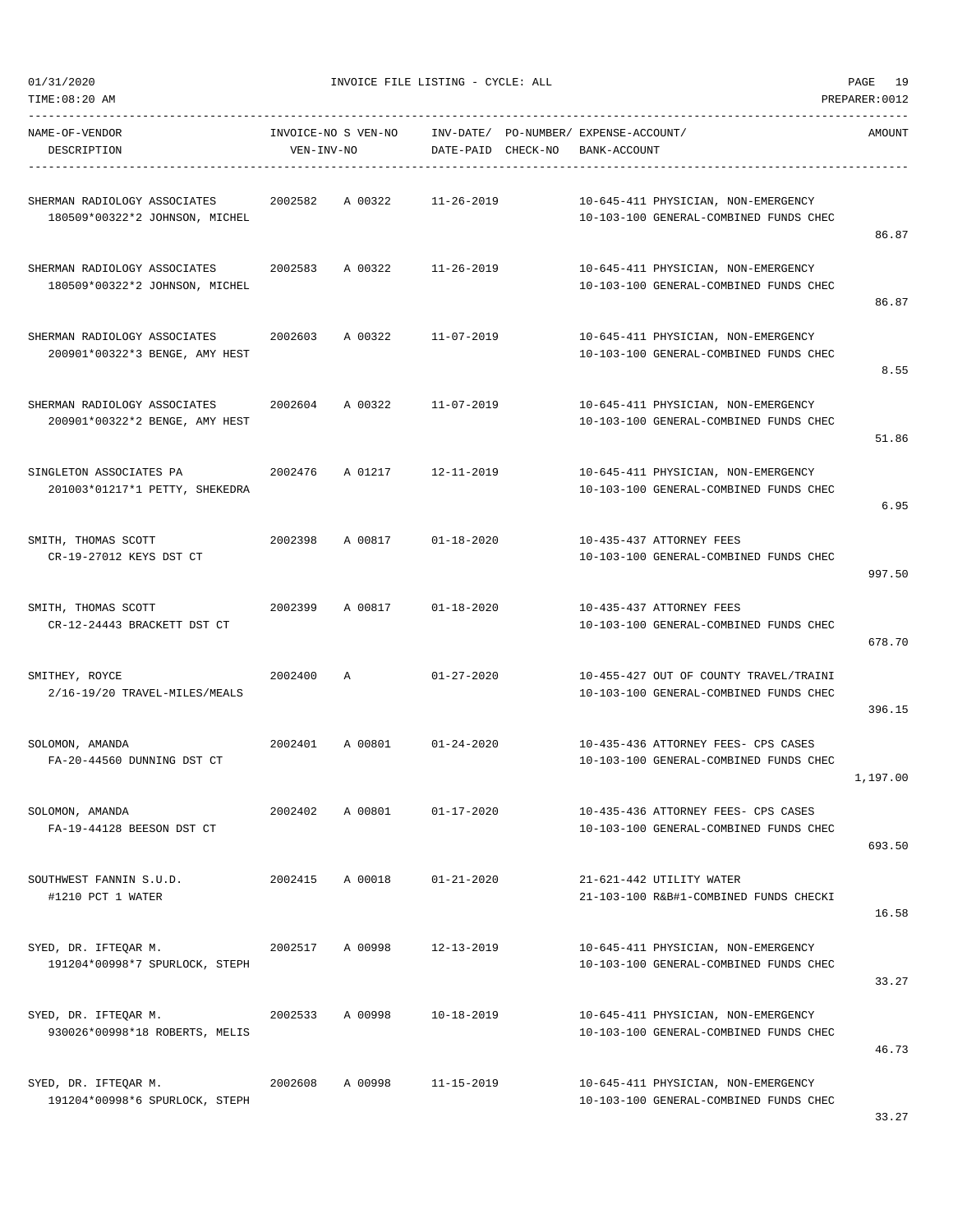01/31/2020 INVOICE FILE LISTING - CYCLE: ALL PAGE 19

| NAME-OF-VENDOR<br>DESCRIPTION                                          | VEN-INV-NO | INVOICE-NO S VEN-NO | DATE-PAID CHECK-NO | INV-DATE/ PO-NUMBER/ EXPENSE-ACCOUNT/<br>BANK-ACCOUNT                            | AMOUNT   |
|------------------------------------------------------------------------|------------|---------------------|--------------------|----------------------------------------------------------------------------------|----------|
| SHERMAN RADIOLOGY ASSOCIATES 2002582<br>180509*00322*2 JOHNSON, MICHEL |            | A 00322             | 11-26-2019         | 10-645-411 PHYSICIAN, NON-EMERGENCY<br>10-103-100 GENERAL-COMBINED FUNDS CHEC    | 86.87    |
| SHERMAN RADIOLOGY ASSOCIATES<br>180509*00322*2 JOHNSON, MICHEL         | 2002583    | A 00322             | $11 - 26 - 2019$   | 10-645-411 PHYSICIAN, NON-EMERGENCY<br>10-103-100 GENERAL-COMBINED FUNDS CHEC    | 86.87    |
| SHERMAN RADIOLOGY ASSOCIATES<br>200901*00322*3 BENGE, AMY HEST         | 2002603    | A 00322             | $11 - 07 - 2019$   | 10-645-411 PHYSICIAN, NON-EMERGENCY<br>10-103-100 GENERAL-COMBINED FUNDS CHEC    | 8.55     |
| SHERMAN RADIOLOGY ASSOCIATES<br>200901*00322*2 BENGE, AMY HEST         | 2002604    | A 00322             | 11-07-2019         | 10-645-411 PHYSICIAN, NON-EMERGENCY<br>10-103-100 GENERAL-COMBINED FUNDS CHEC    | 51.86    |
| SINGLETON ASSOCIATES PA<br>201003*01217*1 PETTY, SHEKEDRA              | 2002476    |                     | A 01217 12-11-2019 | 10-645-411 PHYSICIAN, NON-EMERGENCY<br>10-103-100 GENERAL-COMBINED FUNDS CHEC    | 6.95     |
| SMITH, THOMAS SCOTT<br>CR-19-27012 KEYS DST CT                         | 2002398    | A 00817             | $01 - 18 - 2020$   | 10-435-437 ATTORNEY FEES<br>10-103-100 GENERAL-COMBINED FUNDS CHEC               | 997.50   |
| SMITH, THOMAS SCOTT<br>CR-12-24443 BRACKETT DST CT                     | 2002399    | A 00817             | $01 - 18 - 2020$   | 10-435-437 ATTORNEY FEES<br>10-103-100 GENERAL-COMBINED FUNDS CHEC               | 678.70   |
| SMITHEY, ROYCE<br>2/16-19/20 TRAVEL-MILES/MEALS                        | 2002400    | $\mathbb{A}$        | $01 - 27 - 2020$   | 10-455-427 OUT OF COUNTY TRAVEL/TRAINI<br>10-103-100 GENERAL-COMBINED FUNDS CHEC | 396.15   |
| SOLOMON, AMANDA<br>FA-20-44560 DUNNING DST CT                          | 2002401    | A 00801             | $01 - 24 - 2020$   | 10-435-436 ATTORNEY FEES- CPS CASES<br>10-103-100 GENERAL-COMBINED FUNDS CHEC    | 1,197.00 |
| SOLOMON, AMANDA<br>FA-19-44128 BEESON DST CT                           | 2002402    | A 00801             | $01 - 17 - 2020$   | 10-435-436 ATTORNEY FEES- CPS CASES<br>10-103-100 GENERAL-COMBINED FUNDS CHEC    | 693.50   |
| SOUTHWEST FANNIN S.U.D.<br>#1210 PCT 1 WATER                           | 2002415    | A 00018             | $01 - 21 - 2020$   | 21-621-442 UTILITY WATER<br>21-103-100 R&B#1-COMBINED FUNDS CHECKI               | 16.58    |
| SYED, DR. IFTEQAR M.<br>191204*00998*7 SPURLOCK, STEPH                 | 2002517    | A 00998             | 12-13-2019         | 10-645-411 PHYSICIAN, NON-EMERGENCY<br>10-103-100 GENERAL-COMBINED FUNDS CHEC    | 33.27    |
| SYED, DR. IFTEQAR M.<br>930026*00998*18 ROBERTS, MELIS                 | 2002533    | A 00998             | $10 - 18 - 2019$   | 10-645-411 PHYSICIAN, NON-EMERGENCY<br>10-103-100 GENERAL-COMBINED FUNDS CHEC    | 46.73    |
| SYED, DR. IFTEQAR M.<br>191204*00998*6 SPURLOCK, STEPH                 | 2002608    | A 00998             | $11 - 15 - 2019$   | 10-645-411 PHYSICIAN, NON-EMERGENCY<br>10-103-100 GENERAL-COMBINED FUNDS CHEC    |          |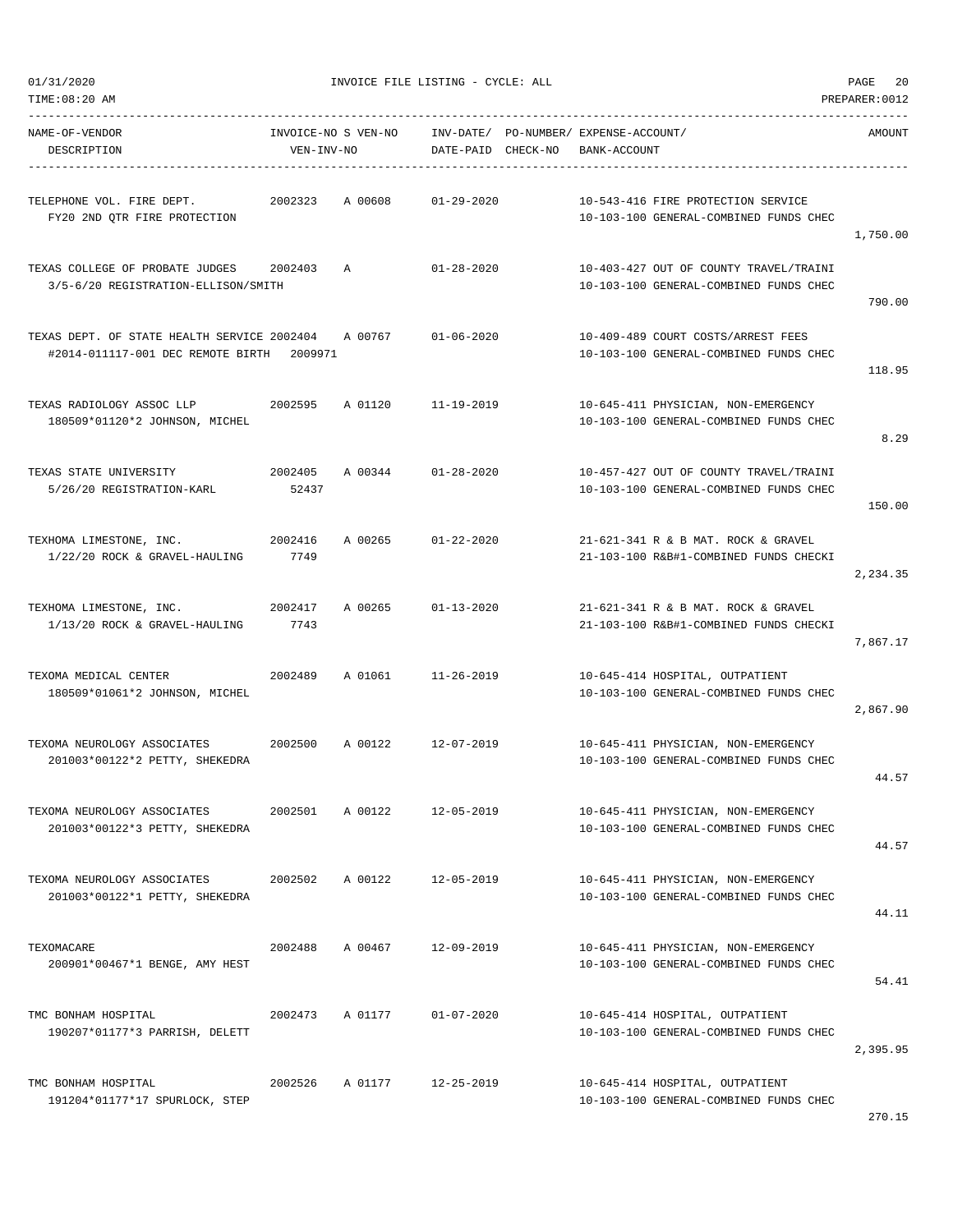| TIME:08:20 AM                                                                    |                                   |         |                    |                                                       |                                                                                  | PREPARER: 0012 |
|----------------------------------------------------------------------------------|-----------------------------------|---------|--------------------|-------------------------------------------------------|----------------------------------------------------------------------------------|----------------|
| NAME-OF-VENDOR<br>DESCRIPTION                                                    | INVOICE-NO S VEN-NO<br>VEN-INV-NO |         | DATE-PAID CHECK-NO | INV-DATE/ PO-NUMBER/ EXPENSE-ACCOUNT/<br>BANK-ACCOUNT |                                                                                  | AMOUNT         |
| TELEPHONE VOL. FIRE DEPT.<br>FY20 2ND QTR FIRE PROTECTION                        | 2002323                           | A 00608 | $01 - 29 - 2020$   |                                                       | 10-543-416 FIRE PROTECTION SERVICE<br>10-103-100 GENERAL-COMBINED FUNDS CHEC     | 1,750.00       |
| TEXAS COLLEGE OF PROBATE JUDGES<br>3/5-6/20 REGISTRATION-ELLISON/SMITH           | 2002403                           | Α       | $01 - 28 - 2020$   |                                                       | 10-403-427 OUT OF COUNTY TRAVEL/TRAINI<br>10-103-100 GENERAL-COMBINED FUNDS CHEC | 790.00         |
| TEXAS DEPT. OF STATE HEALTH SERVICE 2002404<br>#2014-011117-001 DEC REMOTE BIRTH | 2009971                           | A 00767 | $01 - 06 - 2020$   |                                                       | 10-409-489 COURT COSTS/ARREST FEES<br>10-103-100 GENERAL-COMBINED FUNDS CHEC     | 118.95         |
| TEXAS RADIOLOGY ASSOC LLP<br>180509*01120*2 JOHNSON, MICHEL                      | 2002595                           | A 01120 | $11 - 19 - 2019$   |                                                       | 10-645-411 PHYSICIAN, NON-EMERGENCY<br>10-103-100 GENERAL-COMBINED FUNDS CHEC    | 8.29           |
| TEXAS STATE UNIVERSITY<br>5/26/20 REGISTRATION-KARL                              | 2002405<br>52437                  | A 00344 | $01 - 28 - 2020$   |                                                       | 10-457-427 OUT OF COUNTY TRAVEL/TRAINI<br>10-103-100 GENERAL-COMBINED FUNDS CHEC | 150.00         |
| TEXHOMA LIMESTONE, INC.<br>1/22/20 ROCK & GRAVEL-HAULING                         | 2002416<br>7749                   | A 00265 | $01 - 22 - 2020$   |                                                       | 21-621-341 R & B MAT, ROCK & GRAVEL<br>21-103-100 R&B#1-COMBINED FUNDS CHECKI    | 2,234.35       |
| TEXHOMA LIMESTONE, INC.<br>1/13/20 ROCK & GRAVEL-HAULING                         | 2002417<br>7743                   | A 00265 | $01 - 13 - 2020$   |                                                       | 21-621-341 R & B MAT. ROCK & GRAVEL<br>21-103-100 R&B#1-COMBINED FUNDS CHECKI    | 7,867.17       |
| TEXOMA MEDICAL CENTER<br>180509*01061*2 JOHNSON, MICHEL                          | 2002489                           | A 01061 | $11 - 26 - 2019$   |                                                       | 10-645-414 HOSPITAL, OUTPATIENT<br>10-103-100 GENERAL-COMBINED FUNDS CHEC        | 2,867.90       |
| TEXOMA NEUROLOGY ASSOCIATES<br>201003*00122*2 PETTY, SHEKEDRA                    | 2002500                           | A 00122 | $12 - 07 - 2019$   |                                                       | 10-645-411 PHYSICIAN, NON-EMERGENCY<br>10-103-100 GENERAL-COMBINED FUNDS CHEC    | 44.57          |
| TEXOMA NEUROLOGY ASSOCIATES<br>201003*00122*3 PETTY, SHEKEDRA                    | 2002501                           | A 00122 | 12-05-2019         |                                                       | 10-645-411 PHYSICIAN, NON-EMERGENCY<br>10-103-100 GENERAL-COMBINED FUNDS CHEC    | 44.57          |
| TEXOMA NEUROLOGY ASSOCIATES<br>201003*00122*1 PETTY, SHEKEDRA                    | 2002502                           | A 00122 | 12-05-2019         |                                                       | 10-645-411 PHYSICIAN, NON-EMERGENCY<br>10-103-100 GENERAL-COMBINED FUNDS CHEC    | 44.11          |
| TEXOMACARE<br>200901*00467*1 BENGE, AMY HEST                                     | 2002488                           | A 00467 | 12-09-2019         |                                                       | 10-645-411 PHYSICIAN, NON-EMERGENCY<br>10-103-100 GENERAL-COMBINED FUNDS CHEC    | 54.41          |
| TMC BONHAM HOSPITAL<br>190207*01177*3 PARRISH, DELETT                            | 2002473                           | A 01177 | $01 - 07 - 2020$   |                                                       | 10-645-414 HOSPITAL, OUTPATIENT<br>10-103-100 GENERAL-COMBINED FUNDS CHEC        | 2,395.95       |
| TMC BONHAM HOSPITAL<br>191204*01177*17 SPURLOCK, STEP                            | 2002526                           | A 01177 | $12 - 25 - 2019$   |                                                       | 10-645-414 HOSPITAL, OUTPATIENT<br>10-103-100 GENERAL-COMBINED FUNDS CHEC        |                |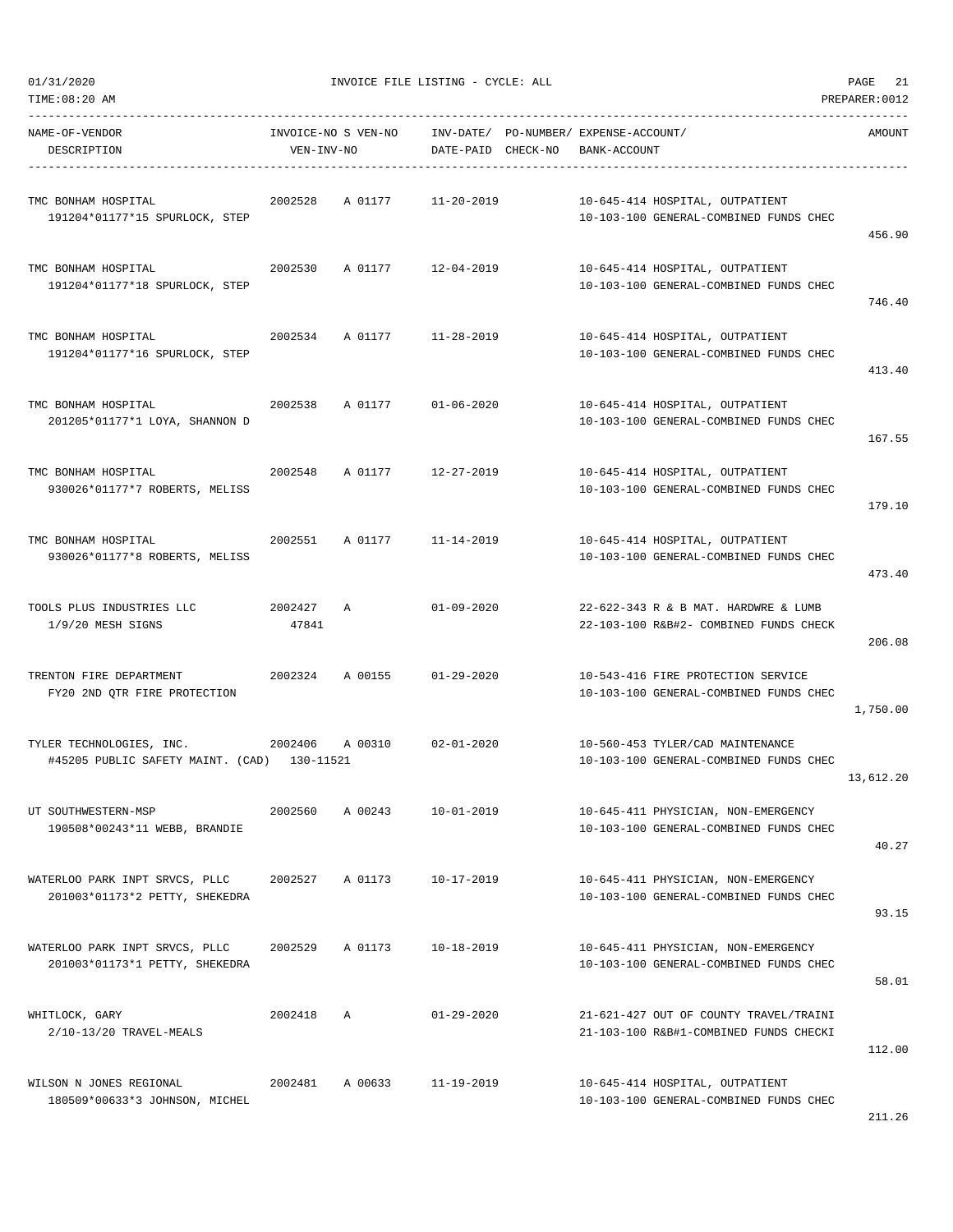| TIME:08:20 AM                                                           |                  |                     |                                 |                                                                                  | PREPARER: 0012 |
|-------------------------------------------------------------------------|------------------|---------------------|---------------------------------|----------------------------------------------------------------------------------|----------------|
| NAME-OF-VENDOR<br>DESCRIPTION                                           | VEN-INV-NO       | INVOICE-NO S VEN-NO | INV-DATE/<br>DATE-PAID CHECK-NO | PO-NUMBER/ EXPENSE-ACCOUNT/<br>BANK-ACCOUNT                                      | AMOUNT         |
| TMC BONHAM HOSPITAL<br>191204*01177*15 SPURLOCK, STEP                   | 2002528          | A 01177             | $11 - 20 - 2019$                | 10-645-414 HOSPITAL, OUTPATIENT<br>10-103-100 GENERAL-COMBINED FUNDS CHEC        | 456.90         |
| TMC BONHAM HOSPITAL<br>191204*01177*18 SPURLOCK, STEP                   | 2002530          | A 01177             | 12-04-2019                      | 10-645-414 HOSPITAL, OUTPATIENT<br>10-103-100 GENERAL-COMBINED FUNDS CHEC        | 746.40         |
| TMC BONHAM HOSPITAL<br>191204*01177*16 SPURLOCK, STEP                   | 2002534          | A 01177             | $11 - 28 - 2019$                | 10-645-414 HOSPITAL, OUTPATIENT<br>10-103-100 GENERAL-COMBINED FUNDS CHEC        | 413.40         |
| TMC BONHAM HOSPITAL<br>201205*01177*1 LOYA, SHANNON D                   | 2002538          | A 01177             | $01 - 06 - 2020$                | 10-645-414 HOSPITAL, OUTPATIENT<br>10-103-100 GENERAL-COMBINED FUNDS CHEC        | 167.55         |
| TMC BONHAM HOSPITAL<br>930026*01177*7 ROBERTS, MELISS                   | 2002548          | A 01177             | $12 - 27 - 2019$                | 10-645-414 HOSPITAL, OUTPATIENT<br>10-103-100 GENERAL-COMBINED FUNDS CHEC        | 179.10         |
| TMC BONHAM HOSPITAL<br>930026*01177*8 ROBERTS, MELISS                   | 2002551          | A 01177             | $11 - 14 - 2019$                | 10-645-414 HOSPITAL, OUTPATIENT<br>10-103-100 GENERAL-COMBINED FUNDS CHEC        | 473.40         |
| TOOLS PLUS INDUSTRIES LLC<br>1/9/20 MESH SIGNS                          | 2002427<br>47841 | A                   | $01 - 09 - 2020$                | 22-622-343 R & B MAT. HARDWRE & LUMB<br>22-103-100 R&B#2- COMBINED FUNDS CHECK   | 206.08         |
| TRENTON FIRE DEPARTMENT<br>FY20 2ND QTR FIRE PROTECTION                 | 2002324          | A 00155             | $01 - 29 - 2020$                | 10-543-416 FIRE PROTECTION SERVICE<br>10-103-100 GENERAL-COMBINED FUNDS CHEC     | 1,750.00       |
| TYLER TECHNOLOGIES, INC.<br>#45205 PUBLIC SAFETY MAINT. (CAD) 130-11521 | 2002406          | A 00310             | $02 - 01 - 2020$                | 10-560-453 TYLER/CAD MAINTENANCE<br>10-103-100 GENERAL-COMBINED FUNDS CHEC       | 13,612.20      |
| UT SOUTHWESTERN-MSP<br>190508*00243*11 WEBB, BRANDIE                    | 2002560          | A 00243             | $10 - 01 - 2019$                | 10-645-411 PHYSICIAN, NON-EMERGENCY<br>10-103-100 GENERAL-COMBINED FUNDS CHEC    | 40.27          |
| WATERLOO PARK INPT SRVCS, PLLC<br>201003*01173*2 PETTY, SHEKEDRA        | 2002527          | A 01173             | $10 - 17 - 2019$                | 10-645-411 PHYSICIAN, NON-EMERGENCY<br>10-103-100 GENERAL-COMBINED FUNDS CHEC    | 93.15          |
| WATERLOO PARK INPT SRVCS, PLLC<br>201003*01173*1 PETTY, SHEKEDRA        | 2002529          | A 01173             | $10 - 18 - 2019$                | 10-645-411 PHYSICIAN, NON-EMERGENCY<br>10-103-100 GENERAL-COMBINED FUNDS CHEC    | 58.01          |
| WHITLOCK, GARY<br>2/10-13/20 TRAVEL-MEALS                               | 2002418          | $\mathbb{A}$        | $01 - 29 - 2020$                | 21-621-427 OUT OF COUNTY TRAVEL/TRAINI<br>21-103-100 R&B#1-COMBINED FUNDS CHECKI | 112.00         |
| WILSON N JONES REGIONAL<br>180509*00633*3 JOHNSON, MICHEL               | 2002481          | A 00633             | $11 - 19 - 2019$                | 10-645-414 HOSPITAL, OUTPATIENT<br>10-103-100 GENERAL-COMBINED FUNDS CHEC        |                |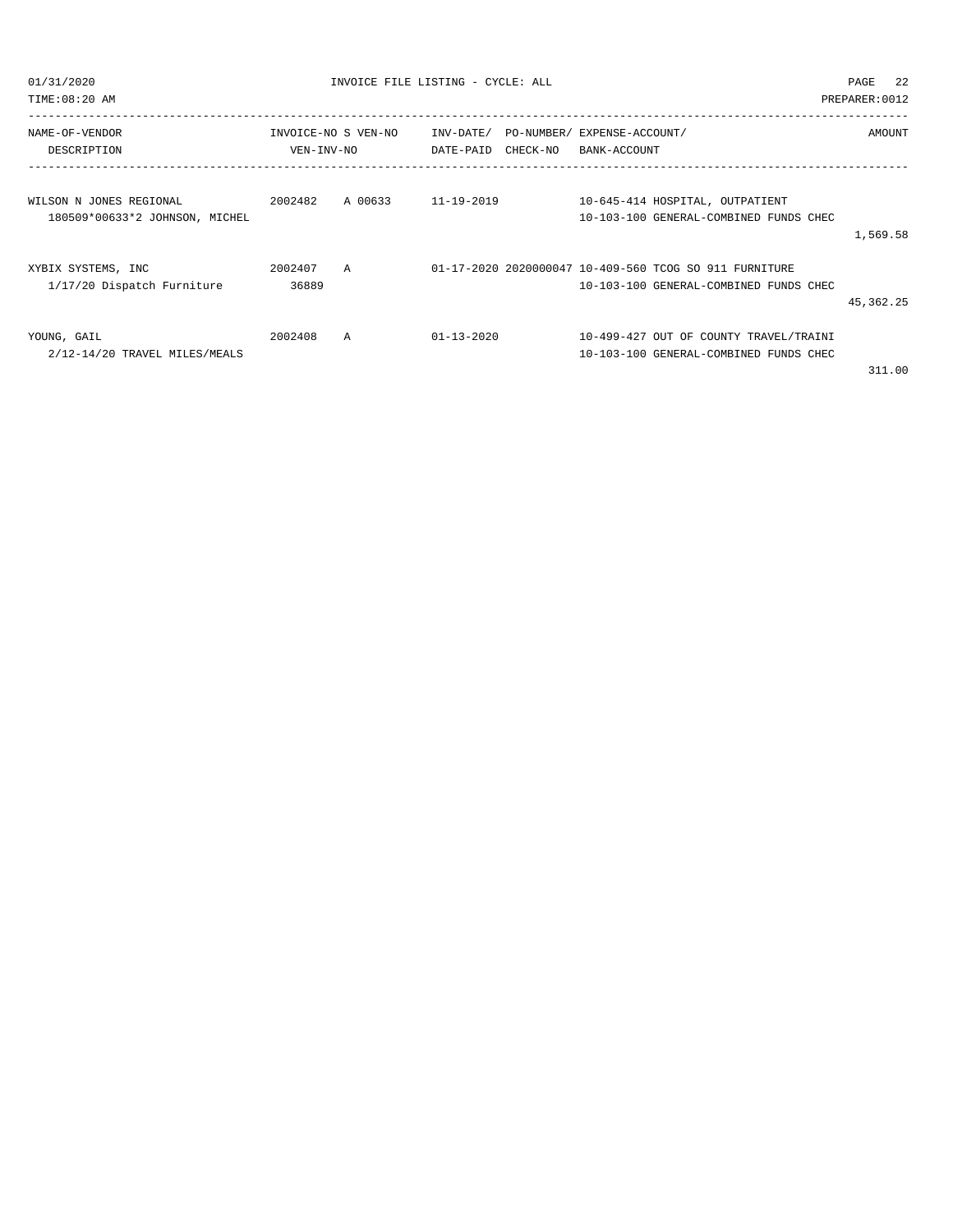| 01/31/2020<br>TIME:08:20 AM                               | INVOICE FILE LISTING - CYCLE: ALL |                |                  |                                                                          |  |                                                                                                  | 22<br>PAGE<br>PREPARER: 0012 |  |
|-----------------------------------------------------------|-----------------------------------|----------------|------------------|--------------------------------------------------------------------------|--|--------------------------------------------------------------------------------------------------|------------------------------|--|
| NAME-OF-VENDOR<br>DESCRIPTION                             | INVOICE-NO S VEN-NO<br>VEN-INV-NO |                |                  | INV-DATE/ PO-NUMBER/ EXPENSE-ACCOUNT/<br>DATE-PAID CHECK-NO BANK-ACCOUNT |  | AMOUNT                                                                                           |                              |  |
| WILSON N JONES REGIONAL<br>180509*00633*2 JOHNSON, MICHEL | 2002482                           | A 00633        | 11-19-2019       |                                                                          |  | 10-645-414 HOSPITAL, OUTPATIENT<br>10-103-100 GENERAL-COMBINED FUNDS CHEC                        | 1,569.58                     |  |
| XYBIX SYSTEMS, INC<br>1/17/20 Dispatch Furniture          | 2002407<br>36889                  | $\overline{A}$ |                  |                                                                          |  | 01-17-2020 2020000047 10-409-560 TCOG SO 911 FURNITURE<br>10-103-100 GENERAL-COMBINED FUNDS CHEC | 45, 362. 25                  |  |
| YOUNG, GAIL<br>2/12-14/20 TRAVEL MILES/MEALS              | 2002408                           | A              | $01 - 13 - 2020$ |                                                                          |  | 10-499-427 OUT OF COUNTY TRAVEL/TRAINI<br>10-103-100 GENERAL-COMBINED FUNDS CHEC                 |                              |  |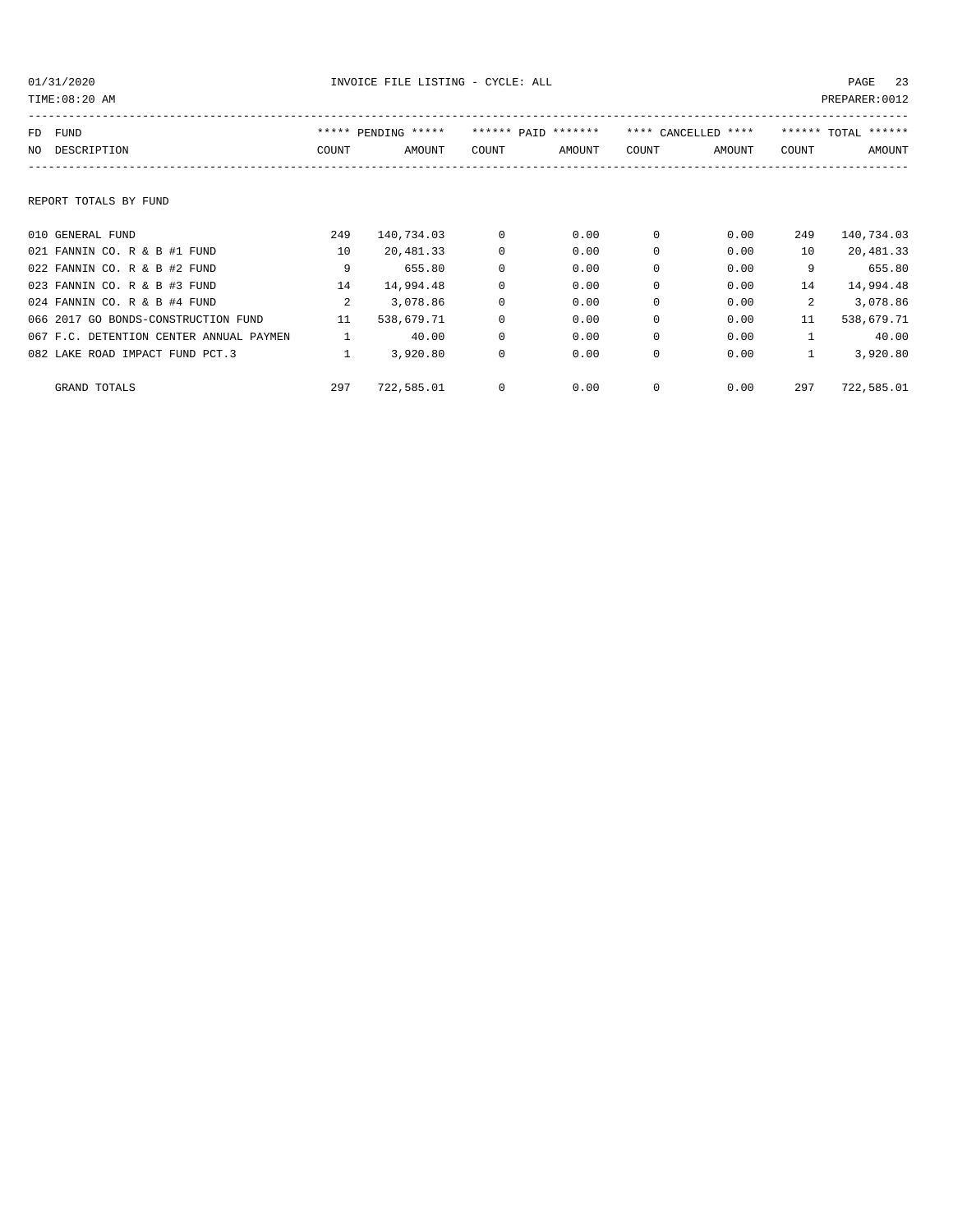| TIME: 08:20 AM                          |               |                     |             |                     |             |                     |              | PREPARER: 0012      |
|-----------------------------------------|---------------|---------------------|-------------|---------------------|-------------|---------------------|--------------|---------------------|
| <b>FUND</b><br>FD                       |               | ***** PENDING ***** |             | ****** PAID ******* |             | **** CANCELLED **** |              | ****** TOTAL ****** |
| DESCRIPTION<br>NO.                      | COUNT         | AMOUNT              | COUNT       | AMOUNT              | COUNT       | AMOUNT              | COUNT        | AMOUNT              |
|                                         |               |                     |             |                     |             |                     |              |                     |
| REPORT TOTALS BY FUND                   |               |                     |             |                     |             |                     |              |                     |
| 010 GENERAL FUND                        | 249           | 140,734.03          | 0           | 0.00                | 0           | 0.00                | 249          | 140,734.03          |
| 021 FANNIN CO. R & B #1 FUND            | 10            | 20,481.33           | $\mathbf 0$ | 0.00                | $\Omega$    | 0.00                | 10           | 20,481.33           |
| 022 FANNIN CO. R & B #2 FUND            | 9             | 655.80              | $\mathbf 0$ | 0.00                | $\Omega$    | 0.00                | 9            | 655.80              |
| 023 FANNIN CO. R & B #3 FUND            | 14            | 14,994.48           | $\mathbf 0$ | 0.00                | $\Omega$    | 0.00                | 14           | 14,994.48           |
| 024 FANNIN CO. R & B #4 FUND            | $\mathcal{L}$ | 3,078.86            | $\mathbf 0$ | 0.00                | $\Omega$    | 0.00                | 2            | 3,078.86            |
| 066 2017 GO BONDS-CONSTRUCTION FUND     | 11            | 538,679.71          | $\mathbf 0$ | 0.00                | $\Omega$    | 0.00                | 11           | 538,679.71          |
| 067 F.C. DETENTION CENTER ANNUAL PAYMEN |               | 40.00               | $\mathbf 0$ | 0.00                | $\Omega$    | 0.00                | $\mathbf{1}$ | 40.00               |
| 082 LAKE ROAD IMPACT FUND PCT.3         |               | 3,920.80            | $\mathbf 0$ | 0.00                | $\mathbf 0$ | 0.00                | $\mathbf{1}$ | 3,920.80            |
| GRAND TOTALS                            | 297           | 722,585.01          | 0           | 0.00                | 0           | 0.00                | 297          | 722,585.01          |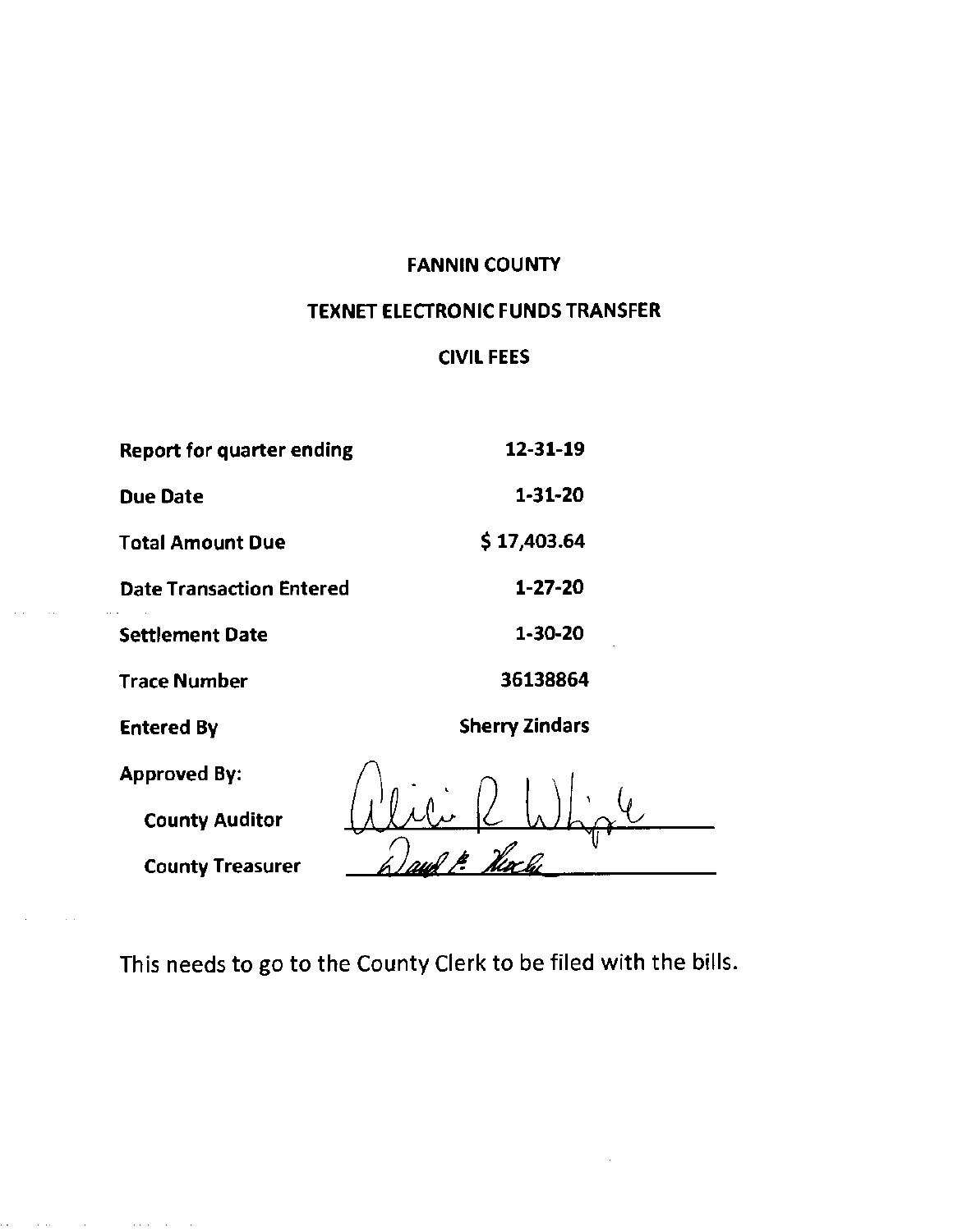#### FANNIN COUNTY

## TEXNET ELECTRONIC FUNDS TRANSFER

### CIVIL FEES

| <b>Report for quarter ending</b> | 12-31-19              |
|----------------------------------|-----------------------|
| <b>Due Date</b>                  | 1-31-20               |
| <b>Total Amount Due</b>          | \$17,403.64           |
| <b>Date Transaction Entered</b>  | $1 - 27 - 20$         |
| <b>Settlement Date</b>           | 1-30-20               |
| Trace Number                     | 36138864              |
| <b>Entered By</b>                | <b>Sherry Zindars</b> |
| <b>Approved By:</b>              |                       |
| <b>County Auditor</b>            |                       |
| <b>County Treasurer</b>          |                       |

 $\sim 10$ 

 $\bullet$  . The second constraints are also the second constraint  $\mathcal{L}_{\mathcal{A}}$ 

This needs to go to the County Clerk to be filed with the bills.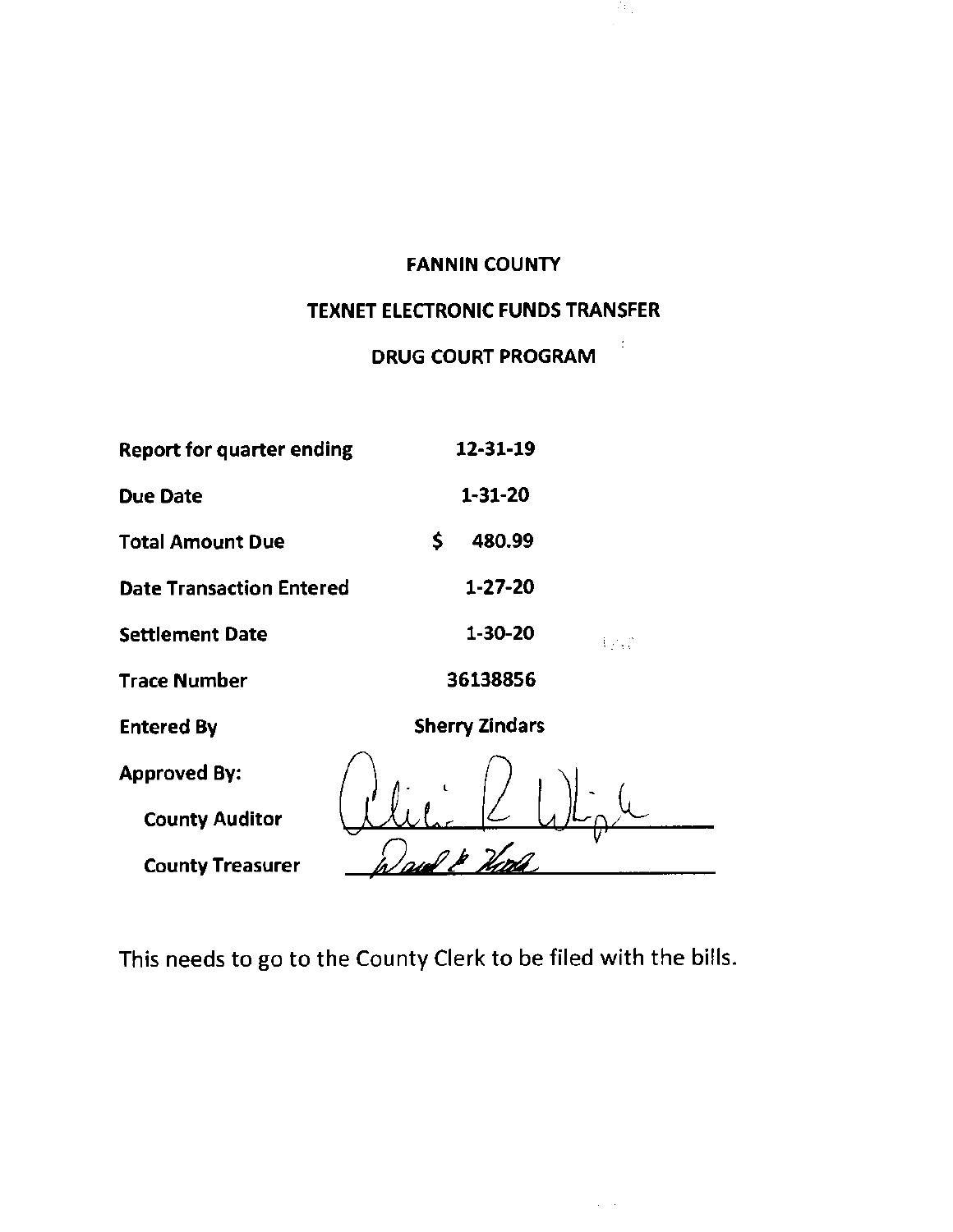#### FANNIN COUNTY

39.

 $\frac{1}{2}$ 

 $\sim 10^{-10}$  eV

## TEXNET ELECTRONIC FUNDS TRANSFER

# DRUG COURT **PROGRAM**

| <b>Report for quarter ending</b> | 12-31-19                     |
|----------------------------------|------------------------------|
| <b>Due Date</b>                  | $1 - 31 - 20$                |
| <b>Total Amount Due</b>          | \$<br>480.99                 |
| <b>Date Transaction Entered</b>  | 1-27-20                      |
| <b>Settlement Date</b>           | $1 - 30 - 20$<br><b>Lynd</b> |
| <b>Trace Number</b>              | 36138856                     |
| <b>Entered By</b>                | <b>Sherry Zindars</b>        |
| <b>Approved By:</b>              |                              |
| <b>County Auditor</b>            |                              |
| <b>County Treasurer</b>          |                              |

This needs to go to the County Clerk to be filed with the bills.